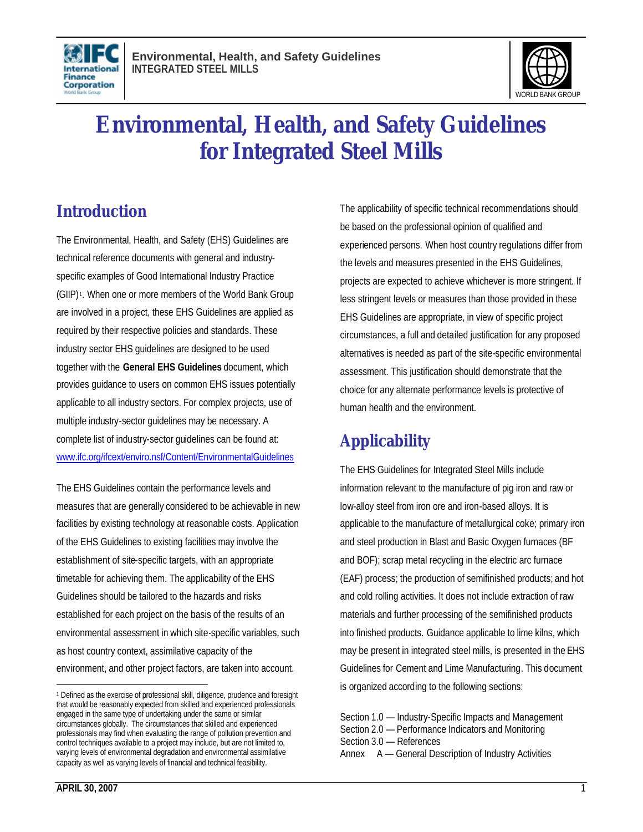



# **Environmental, Health, and Safety Guidelines for Integrated Steel Mills**

## **Introduction**

The Environmental, Health, and Safety (EHS) Guidelines are technical reference documents with general and industryspecific examples of Good International Industry Practice (GIIP) <sup>1</sup> . When one or more members of the World Bank Group are involved in a project, these EHS Guidelines are applied as required by their respective policies and standards. These industry sector EHS guidelines are designed to be used together with the **General EHS Guidelines** document, which provides guidance to users on common EHS issues potentially applicable to all industry sectors. For complex projects, use of multiple industry-sector guidelines may be necessary. A complete list of industry-sector guidelines can be found at: www.ifc.org/ifcext/enviro.nsf/Content/EnvironmentalGuidelines

The EHS Guidelines contain the performance levels and measures that are generally considered to be achievable in new facilities by existing technology at reasonable costs. Application of the EHS Guidelines to existing facilities may involve the establishment of site-specific targets, with an appropriate timetable for achieving them. The applicability of the EHS Guidelines should be tailored to the hazards and risks established for each project on the basis of the results of an environmental assessment in which site-specific variables, such as host country context, assimilative capacity of the environment, and other project factors, are taken into account.

The applicability of specific technical recommendations should be based on the professional opinion of qualified and experienced persons. When host country regulations differ from the levels and measures presented in the EHS Guidelines, projects are expected to achieve whichever is more stringent. If less stringent levels or measures than those provided in these EHS Guidelines are appropriate, in view of specific project circumstances, a full and detailed justification for any proposed alternatives is needed as part of the site-specific environmental assessment. This justification should demonstrate that the choice for any alternate performance levels is protective of human health and the environment.

## **Applicability**

The EHS Guidelines for Integrated Steel Mills include information relevant to the manufacture of pig iron and raw or low-alloy steel from iron ore and iron-based alloys. It is applicable to the manufacture of metallurgical coke; primary iron and steel production in Blast and Basic Oxygen furnaces (BF and BOF); scrap metal recycling in the electric arc furnace (EAF) process; the production of semifinished products; and hot and cold rolling activities. It does not include extraction of raw materials and further processing of the semifinished products into finished products. Guidance applicable to lime kilns, which may be present in integrated steel mills, is presented in the EHS Guidelines for Cement and Lime Manufacturing. This document is organized according to the following sections:

- Section 1.0 Industry-Specific Impacts and Management Section 2.0 — Performance Indicators and Monitoring
- Section 3.0 References
- Annex A General Description of Industry Activities

l

<sup>1</sup> Defined as the exercise of professional skill, diligence, prudence and foresight that would be reasonably expected from skilled and experienced professionals engaged in the same type of undertaking under the same or similar circumstances globally. The circumstances that skilled and experienced professionals may find when evaluating the range of pollution prevention and control techniques available to a project may include, but are not limited to, varying levels of environmental degradation and environmental assimilative capacity as well as varying levels of financial and technical feasibility.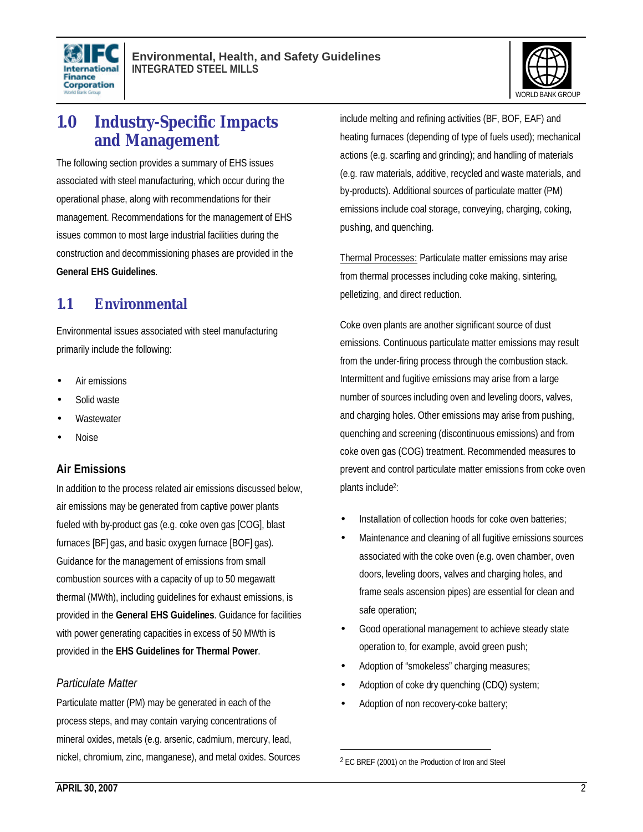



## **1.0 Industry-Specific Impacts and Management**

The following section provides a summary of EHS issues associated with steel manufacturing, which occur during the operational phase, along with recommendations for their management. Recommendations for the management of EHS issues common to most large industrial facilities during the construction and decommissioning phases are provided in the **General EHS Guidelines**.

## **1.1 Environmental**

Environmental issues associated with steel manufacturing primarily include the following:

- Air emissions
- Solid waste
- **Wastewater**
- Noise

#### **Air Emissions**

In addition to the process related air emissions discussed below, air emissions may be generated from captive power plants fueled with by-product gas (e.g. coke oven gas [COG], blast furnaces [BF] gas, and basic oxygen furnace [BOF] gas). Guidance for the management of emissions from small combustion sources with a capacity of up to 50 megawatt thermal (MWth), including guidelines for exhaust emissions, is provided in the **General EHS Guidelines**. Guidance for facilities with power generating capacities in excess of 50 MWth is provided in the **EHS Guidelines for Thermal Power**.

#### *Particulate Matter*

Particulate matter (PM) may be generated in each of the process steps, and may contain varying concentrations of mineral oxides, metals (e.g. arsenic, cadmium, mercury, lead, nickel, chromium, zinc, manganese), and metal oxides. Sources include melting and refining activities (BF, BOF, EAF) and heating furnaces (depending of type of fuels used); mechanical actions (e.g. scarfing and grinding); and handling of materials (e.g. raw materials, additive, recycled and waste materials, and by-products). Additional sources of particulate matter (PM) emissions include coal storage, conveying, charging, coking, pushing, and quenching.

Thermal Processes: Particulate matter emissions may arise from thermal processes including coke making, sintering, pelletizing, and direct reduction.

Coke oven plants are another significant source of dust emissions. Continuous particulate matter emissions may result from the under-firing process through the combustion stack. Intermittent and fugitive emissions may arise from a large number of sources including oven and leveling doors, valves, and charging holes. Other emissions may arise from pushing, quenching and screening (discontinuous emissions) and from coke oven gas (COG) treatment. Recommended measures to prevent and control particulate matter emissions from coke oven plants include<sup>2</sup>:

- Installation of collection hoods for coke oven batteries;
- Maintenance and cleaning of all fugitive emissions sources associated with the coke oven (e.g. oven chamber, oven doors, leveling doors, valves and charging holes, and frame seals ascension pipes) are essential for clean and safe operation;
- Good operational management to achieve steady state operation to, for example, avoid green push;
- Adoption of "smokeless" charging measures;
- Adoption of coke dry quenching (CDQ) system;
- Adoption of non recovery-coke battery;

1

<sup>2</sup> EC BREF (2001) on the Production of Iron and Steel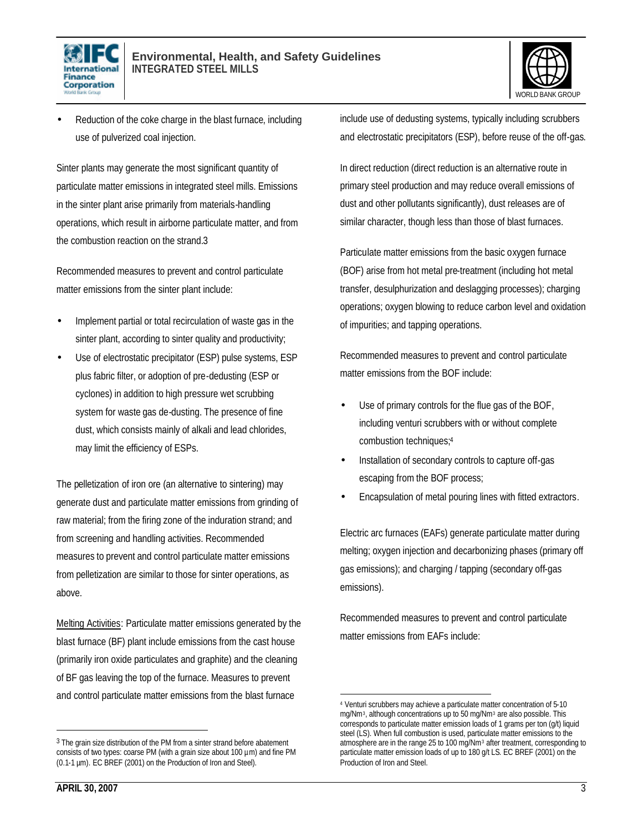



Reduction of the coke charge in the blast furnace, including use of pulverized coal injection.

Sinter plants may generate the most significant quantity of particulate matter emissions in integrated steel mills. Emissions in the sinter plant arise primarily from materials-handling operations, which result in airborne particulate matter, and from the combustion reaction on the strand.3

Recommended measures to prevent and control particulate matter emissions from the sinter plant include:

- Implement partial or total recirculation of waste gas in the sinter plant, according to sinter quality and productivity;
- Use of electrostatic precipitator (ESP) pulse systems, ESP plus fabric filter, or adoption of pre-dedusting (ESP or cyclones) in addition to high pressure wet scrubbing system for waste gas de-dusting. The presence of fine dust, which consists mainly of alkali and lead chlorides, may limit the efficiency of ESPs.

The pelletization of iron ore (an alternative to sintering) may generate dust and particulate matter emissions from grinding of raw material; from the firing zone of the induration strand; and from screening and handling activities. Recommended measures to prevent and control particulate matter emissions from pelletization are similar to those for sinter operations, as above.

Melting Activities: Particulate matter emissions generated by the blast furnace (BF) plant include emissions from the cast house (primarily iron oxide particulates and graphite) and the cleaning of BF gas leaving the top of the furnace. Measures to prevent and control particulate matter emissions from the blast furnace

include use of dedusting systems, typically including scrubbers and electrostatic precipitators (ESP), before reuse of the off-gas.

In direct reduction (direct reduction is an alternative route in primary steel production and may reduce overall emissions of dust and other pollutants significantly), dust releases are of similar character, though less than those of blast furnaces.

Particulate matter emissions from the basic oxygen furnace (BOF) arise from hot metal pre-treatment (including hot metal transfer, desulphurization and deslagging processes); charging operations; oxygen blowing to reduce carbon level and oxidation of impurities; and tapping operations.

Recommended measures to prevent and control particulate matter emissions from the BOF include:

- Use of primary controls for the flue gas of the BOF, including venturi scrubbers with or without complete combustion techniques;<sup>4</sup>
- Installation of secondary controls to capture off-gas escaping from the BOF process;
- Encapsulation of metal pouring lines with fitted extractors.

Electric arc furnaces (EAFs) generate particulate matter during melting; oxygen injection and decarbonizing phases (primary off gas emissions); and charging / tapping (secondary off-gas emissions).

Recommended measures to prevent and control particulate matter emissions from EAFs include:

<sup>3</sup> The grain size distribution of the PM from a sinter strand before abatement consists of two types: coarse PM (with a grain size about 100 µm) and fine PM (0.1-1 µm). EC BREF (2001) on the Production of Iron and Steel).

 $\overline{a}$ <sup>4</sup> Venturi scrubbers may achieve a particulate matter concentration of 5-10 mg/Nm<sup>3</sup>, although concentrations up to 50 mg/Nm<sup>3</sup> are also possible. This corresponds to particulate matter emission loads of 1 grams per ton (g/t) liquid steel (LS). When full combustion is used, particulate matter emissions to the atmosphere are in the range 25 to 100 mg/Nm<sup>3</sup> after treatment, corresponding to particulate matter emission loads of up to 180 g/t LS. EC BREF (2001) on the Production of Iron and Steel.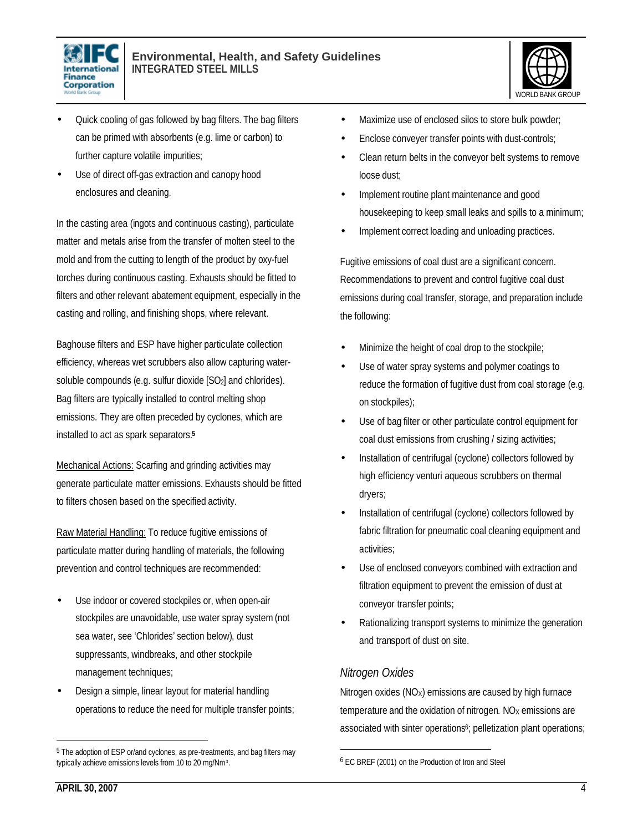



- Quick cooling of gas followed by bag filters. The bag filters can be primed with absorbents (e.g. lime or carbon) to further capture volatile impurities;
- Use of direct off-gas extraction and canopy hood enclosures and cleaning.

In the casting area (ingots and continuous casting), particulate matter and metals arise from the transfer of molten steel to the mold and from the cutting to length of the product by oxy-fuel torches during continuous casting. Exhausts should be fitted to filters and other relevant abatement equipment, especially in the casting and rolling, and finishing shops, where relevant.

Baghouse filters and ESP have higher particulate collection efficiency, whereas wet scrubbers also allow capturing watersoluble compounds (e.g. sulfur dioxide [SO<sub>2</sub>] and chlorides). Bag filters are typically installed to control melting shop emissions. They are often preceded by cyclones, which are installed to act as spark separators.**<sup>5</sup>**

Mechanical Actions: Scarfing and grinding activities may generate particulate matter emissions. Exhausts should be fitted to filters chosen based on the specified activity.

Raw Material Handling: To reduce fugitive emissions of particulate matter during handling of materials, the following prevention and control techniques are recommended:

- Use indoor or covered stockpiles or, when open-air stockpiles are unavoidable, use water spray system (not sea water, see 'Chlorides' section below), dust suppressants, windbreaks, and other stockpile management techniques;
- Design a simple, linear layout for material handling operations to reduce the need for multiple transfer points;
- Maximize use of enclosed silos to store bulk powder;
- Enclose conveyer transfer points with dust-controls;
- Clean return belts in the conveyor belt systems to remove loose dust;
- Implement routine plant maintenance and good housekeeping to keep small leaks and spills to a minimum;
- Implement correct loading and unloading practices.

Fugitive emissions of coal dust are a significant concern. Recommendations to prevent and control fugitive coal dust emissions during coal transfer, storage, and preparation include the following:

- Minimize the height of coal drop to the stockpile;
- Use of water spray systems and polymer coatings to reduce the formation of fugitive dust from coal storage (e.g. on stockpiles);
- Use of bag filter or other particulate control equipment for coal dust emissions from crushing / sizing activities;
- Installation of centrifugal (cyclone) collectors followed by high efficiency venturi aqueous scrubbers on thermal dryers;
- Installation of centrifugal (cyclone) collectors followed by fabric filtration for pneumatic coal cleaning equipment and activities;
- Use of enclosed conveyors combined with extraction and filtration equipment to prevent the emission of dust at conveyor transfer points;
- Rationalizing transport systems to minimize the generation and transport of dust on site.

### *Nitrogen Oxides*

1

Nitrogen oxides ( $NO<sub>x</sub>$ ) emissions are caused by high furnace temperature and the oxidation of nitrogen.  $NO<sub>X</sub>$  emissions are associated with sinter operations<sup>6</sup>; pelletization plant operations;

<sup>5</sup> The adoption of ESP or/and cyclones, as pre-treatments, and bag filters may typically achieve emissions levels from 10 to 20 mg/Nm<sup>3</sup> .

<sup>6</sup> EC BREF (2001) on the Production of Iron and Steel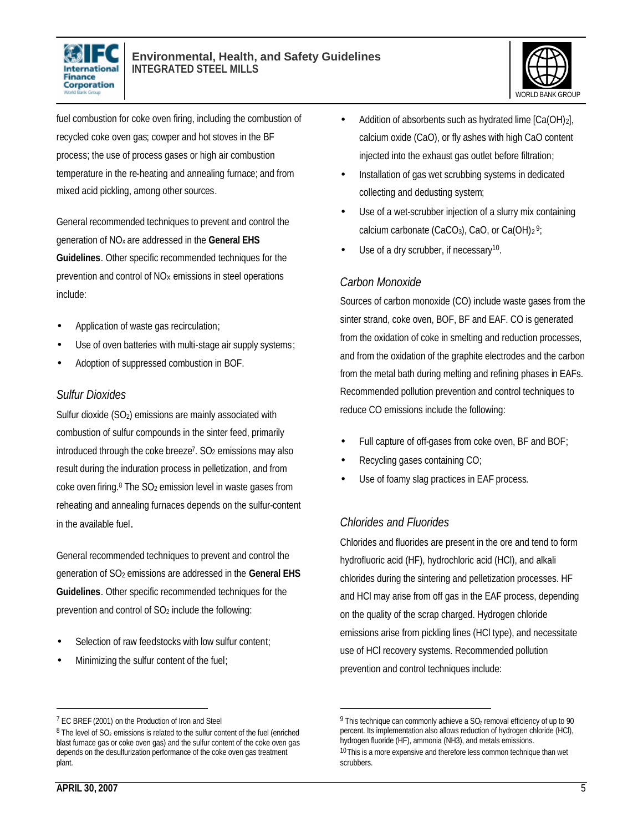



fuel combustion for coke oven firing, including the combustion of recycled coke oven gas; cowper and hot stoves in the BF process; the use of process gases or high air combustion temperature in the re-heating and annealing furnace; and from mixed acid pickling, among other sources.

General recommended techniques to prevent and control the generation of NOx are addressed in the **General EHS Guidelines**. Other specific recommended techniques for the prevention and control of  $NO<sub>X</sub>$  emissions in steel operations include:

- Application of waste gas recirculation;
- Use of oven batteries with multi-stage air supply systems;
- Adoption of suppressed combustion in BOF.

#### *Sulfur Dioxides*

Sulfur dioxide (SO<sub>2</sub>) emissions are mainly associated with combustion of sulfur compounds in the sinter feed, primarily introduced through the coke breeze<sup>7</sup>. SO<sub>2</sub> emissions may also result during the induration process in pelletization, and from coke oven firing.<sup>8</sup> The SO<sub>2</sub> emission level in waste gases from reheating and annealing furnaces depends on the sulfur-content in the available fuel.

General recommended techniques to prevent and control the generation of SO2 emissions are addressed in the **General EHS Guidelines**. Other specific recommended techniques for the prevention and control of SO2 include the following:

- Selection of raw feedstocks with low sulfur content;
- Minimizing the sulfur content of the fuel;
- Addition of absorbents such as hydrated lime [Ca(OH)<sub>2</sub>], calcium oxide (CaO), or fly ashes with high CaO content injected into the exhaust gas outlet before filtration;
- Installation of gas wet scrubbing systems in dedicated collecting and dedusting system;
- Use of a wet-scrubber injection of a slurry mix containing calcium carbonate (CaCO<sub>3</sub>), CaO, or Ca(OH) $_2$ <sup>9</sup>;
- $\bullet$  Use of a dry scrubber, if necessary<sup>10</sup>.

## *Carbon Monoxide*

Sources of carbon monoxide (CO) include waste gases from the sinter strand, coke oven, BOF, BF and EAF. CO is generated from the oxidation of coke in smelting and reduction processes, and from the oxidation of the graphite electrodes and the carbon from the metal bath during melting and refining phases in EAFs. Recommended pollution prevention and control techniques to reduce CO emissions include the following:

- Full capture of off-gases from coke oven, BF and BOF;
- Recycling gases containing CO;
- Use of foamy slag practices in EAF process.

## *Chlorides and Fluorides*

 $\overline{a}$ 

Chlorides and fluorides are present in the ore and tend to form hydrofluoric acid (HF), hydrochloric acid (HCl), and alkali chlorides during the sintering and pelletization processes. HF and HCl may arise from off gas in the EAF process, depending on the quality of the scrap charged. Hydrogen chloride emissions arise from pickling lines (HCl type), and necessitate use of HCl recovery systems. Recommended pollution prevention and control techniques include:

<sup>7</sup> EC BREF (2001) on the Production of Iron and Steel

 $8$  The level of  $SO<sub>2</sub>$  emissions is related to the sulfur content of the fuel (enriched blast furnace gas or coke oven gas) and the sulfur content of the coke oven gas depends on the desulfurization performance of the coke oven gas treatment plant.

<sup>&</sup>lt;sup>9</sup> This technique can commonly achieve a SO<sub>2</sub> removal efficiency of up to 90 percent. Its implementation also allows reduction of hydrogen chloride (HCl), hydrogen fluoride (HF), ammonia (NH3), and metals emissions. <sup>10</sup>This is a more expensive and therefore less common technique than wet scrubbers.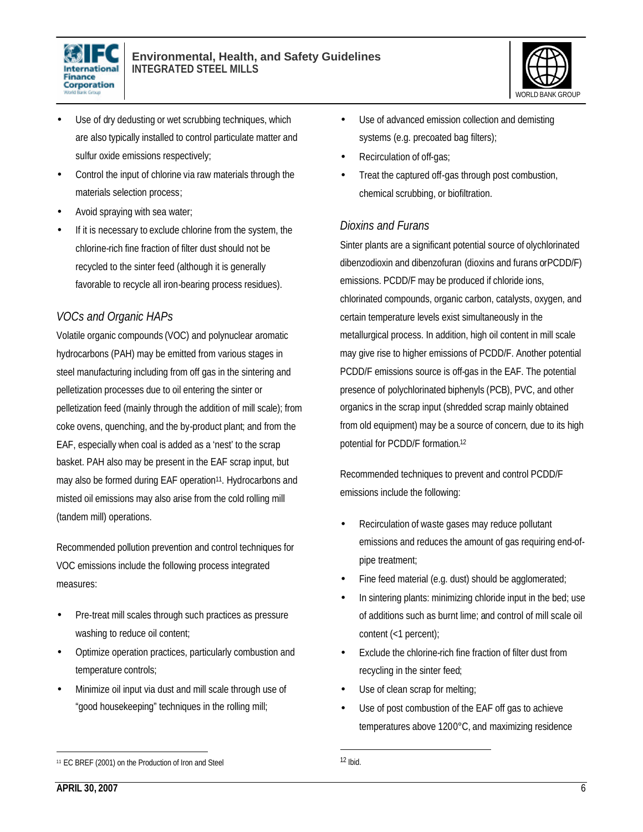



- Use of dry dedusting or wet scrubbing techniques, which are also typically installed to control particulate matter and sulfur oxide emissions respectively;
- Control the input of chlorine via raw materials through the materials selection process;
- Avoid spraying with sea water;
- If it is necessary to exclude chlorine from the system, the chlorine-rich fine fraction of filter dust should not be recycled to the sinter feed (although it is generally favorable to recycle all iron-bearing process residues).

## *VOCs and Organic HAPs*

Volatile organic compounds (VOC) and polynuclear aromatic hydrocarbons (PAH) may be emitted from various stages in steel manufacturing including from off gas in the sintering and pelletization processes due to oil entering the sinter or pelletization feed (mainly through the addition of mill scale); from coke ovens, quenching, and the by-product plant; and from the EAF, especially when coal is added as a 'nest' to the scrap basket. PAH also may be present in the EAF scrap input, but may also be formed during EAF operation<sup>11</sup>. Hydrocarbons and misted oil emissions may also arise from the cold rolling mill (tandem mill) operations.

Recommended pollution prevention and control techniques for VOC emissions include the following process integrated measures:

- Pre-treat mill scales through such practices as pressure washing to reduce oil content;
- Optimize operation practices, particularly combustion and temperature controls;
- Minimize oil input via dust and mill scale through use of "good housekeeping" techniques in the rolling mill;
- Recirculation of off-gas;
- Treat the captured off-gas through post combustion, chemical scrubbing, or biofiltration.

#### *Dioxins and Furans*

Sinter plants are a significant potential source of olychlorinated dibenzodioxin and dibenzofuran (dioxins and furans orPCDD/F) emissions. PCDD/F may be produced if chloride ions, chlorinated compounds, organic carbon, catalysts, oxygen, and certain temperature levels exist simultaneously in the metallurgical process. In addition, high oil content in mill scale may give rise to higher emissions of PCDD/F. Another potential PCDD/F emissions source is off-gas in the EAF. The potential presence of polychlorinated biphenyls (PCB), PVC, and other organics in the scrap input (shredded scrap mainly obtained from old equipment) may be a source of concern, due to its high potential for PCDD/F formation. 12

Recommended techniques to prevent and control PCDD/F emissions include the following:

- Recirculation of waste gases may reduce pollutant emissions and reduces the amount of gas requiring end-ofpipe treatment;
- Fine feed material (e.g. dust) should be agglomerated;
- In sintering plants: minimizing chloride input in the bed; use of additions such as burnt lime; and control of mill scale oil content (<1 percent);
- Exclude the chlorine-rich fine fraction of filter dust from recycling in the sinter feed;
- Use of clean scrap for melting;
- Use of post combustion of the EAF off gas to achieve temperatures above 1200°C, and maximizing residence

<sup>•</sup> Use of advanced emission collection and demisting systems (e.g. precoated bag filters);

<sup>11</sup> EC BREF (2001) on the Production of Iron and Steel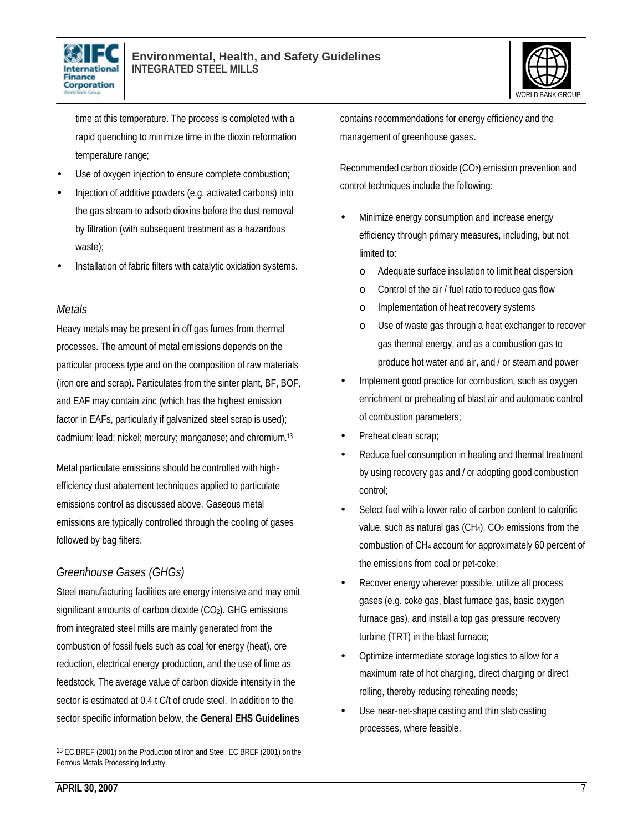



time at this temperature. The process is completed with a rapid quenching to minimize time in the dioxin reformation temperature range;

- Use of oxygen injection to ensure complete combustion;
- Injection of additive powders (e.g. activated carbons) into the gas stream to adsorb dioxins before the dust removal by filtration (with subsequent treatment as a hazardous waste);
- Installation of fabric filters with catalytic oxidation systems.

#### *Metals*

Heavy metals may be present in off gas fumes from thermal processes. The amount of metal emissions depends on the particular process type and on the composition of raw materials (iron ore and scrap). Particulates from the sinter plant, BF, BOF, and EAF may contain zinc (which has the highest emission factor in EAFs, particularly if galvanized steel scrap is used); cadmium; lead; nickel; mercury; manganese; and chromium. 13

Metal particulate emissions should be controlled with highefficiency dust abatement techniques applied to particulate emissions control as discussed above. Gaseous metal emissions are typically controlled through the cooling of gases followed by bag filters.

## *Greenhouse Gases (GHGs)*

Steel manufacturing facilities are energy intensive and may emit significant amounts of carbon dioxide  $(CO<sub>2</sub>)$ . GHG emissions from integrated steel mills are mainly generated from the combustion of fossil fuels such as coal for energy (heat), ore reduction, electrical energy production, and the use of lime as feedstock. The average value of carbon dioxide intensity in the sector is estimated at 0.4 t C/t of crude steel. In addition to the sector specific information below, the **General EHS Guidelines**

contains recommendations for energy efficiency and the management of greenhouse gases.

Recommended carbon dioxide (CO<sub>2</sub>) emission prevention and control techniques include the following:

- Minimize energy consumption and increase energy efficiency through primary measures, including, but not limited to:
	- o Adequate surface insulation to limit heat dispersion
	- o Control of the air / fuel ratio to reduce gas flow
	- o Implementation of heat recovery systems
	- o Use of waste gas through a heat exchanger to recover gas thermal energy, and as a combustion gas to produce hot water and air, and / or steam and power
- Implement good practice for combustion, such as oxygen enrichment or preheating of blast air and automatic control of combustion parameters;
- Preheat clean scrap;
- Reduce fuel consumption in heating and thermal treatment by using recovery gas and / or adopting good combustion control;
- Select fuel with a lower ratio of carbon content to calorific value, such as natural gas (CH<sub>4</sub>). CO<sub>2</sub> emissions from the combustion of CH4 account for approximately 60 percent of the emissions from coal or pet-coke;
- Recover energy wherever possible, utilize all process gases (e.g. coke gas, blast furnace gas, basic oxygen furnace gas), and install a top gas pressure recovery turbine (TRT) in the blast furnace;
- Optimize intermediate storage logistics to allow for a maximum rate of hot charging, direct charging or direct rolling, thereby reducing reheating needs;
- Use near-net-shape casting and thin slab casting processes, where feasible.

<sup>13</sup> EC BREF (2001) on the Production of Iron and Steel; EC BREF (2001) on the Ferrous Metals Processing Industry.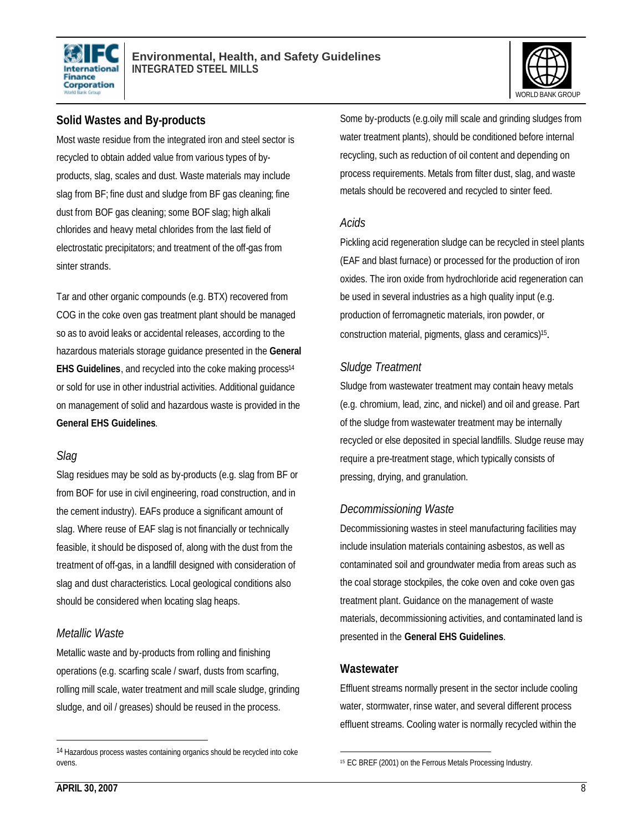



#### **Solid Wastes and By-products**

Most waste residue from the integrated iron and steel sector is recycled to obtain added value from various types of byproducts, slag, scales and dust. Waste materials may include slag from BF; fine dust and sludge from BF gas cleaning; fine dust from BOF gas cleaning; some BOF slag; high alkali chlorides and heavy metal chlorides from the last field of electrostatic precipitators; and treatment of the off-gas from sinter strands.

Tar and other organic compounds (e.g. BTX) recovered from COG in the coke oven gas treatment plant should be managed so as to avoid leaks or accidental releases, according to the hazardous materials storage guidance presented in the **General EHS Guidelines**, and recycled into the coke making process<sup>14</sup> or sold for use in other industrial activities. Additional guidance on management of solid and hazardous waste is provided in the **General EHS Guidelines**.

#### *Slag*

Slag residues may be sold as by-products (e.g. slag from BF or from BOF for use in civil engineering, road construction, and in the cement industry). EAFs produce a significant amount of slag. Where reuse of EAF slag is not financially or technically feasible, it should be disposed of, along with the dust from the treatment of off-gas, in a landfill designed with consideration of slag and dust characteristics. Local geological conditions also should be considered when locating slag heaps.

#### *Metallic Waste*

Metallic waste and by-products from rolling and finishing operations (e.g. scarfing scale / swarf, dusts from scarfing, rolling mill scale, water treatment and mill scale sludge, grinding sludge, and oil / greases) should be reused in the process.

Some by-products (e.g.oily mill scale and grinding sludges from water treatment plants), should be conditioned before internal recycling, such as reduction of oil content and depending on process requirements. Metals from filter dust, slag, and waste metals should be recovered and recycled to sinter feed.

#### *Acids*

Pickling acid regeneration sludge can be recycled in steel plants (EAF and blast furnace) or processed for the production of iron oxides. The iron oxide from hydrochloride acid regeneration can be used in several industries as a high quality input (e.g. production of ferromagnetic materials, iron powder, or construction material, pigments, glass and ceramics)<sup>15</sup>.

## *Sludge Treatment*

Sludge from wastewater treatment may contain heavy metals (e.g. chromium, lead, zinc, and nickel) and oil and grease. Part of the sludge from wastewater treatment may be internally recycled or else deposited in special landfills. Sludge reuse may require a pre-treatment stage, which typically consists of pressing, drying, and granulation.

## *Decommissioning Waste*

Decommissioning wastes in steel manufacturing facilities may include insulation materials containing asbestos, as well as contaminated soil and groundwater media from areas such as the coal storage stockpiles, the coke oven and coke oven gas treatment plant. Guidance on the management of waste materials, decommissioning activities, and contaminated land is presented in the **General EHS Guidelines**.

#### **Wastewater**

Effluent streams normally present in the sector include cooling water, stormwater, rinse water, and several different process effluent streams. Cooling water is normally recycled within the

<sup>14</sup> Hazardous process wastes containing organics should be recycled into coke ovens.

 $\overline{a}$ 15 EC BREF (2001) on the Ferrous Metals Processing Industry.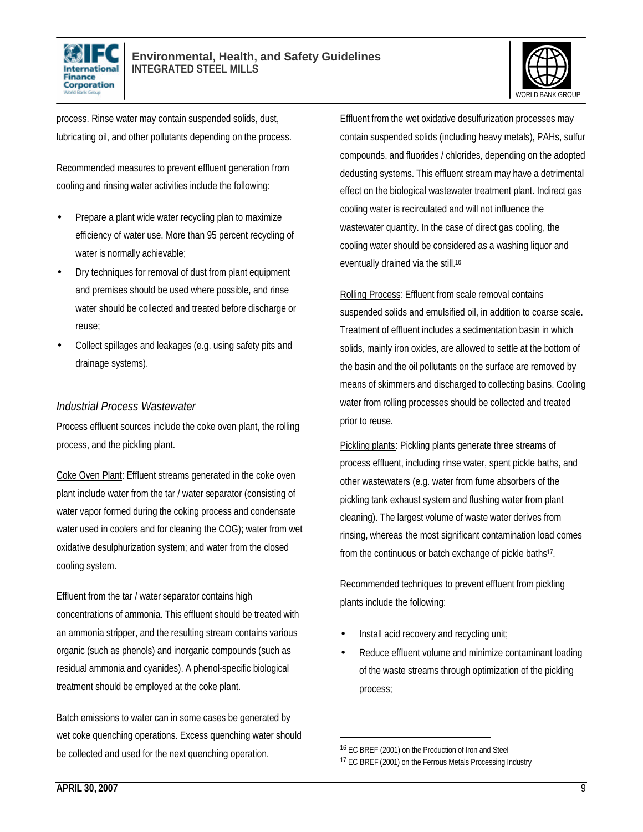



process. Rinse water may contain suspended solids, dust, lubricating oil, and other pollutants depending on the process.

Recommended measures to prevent effluent generation from cooling and rinsing water activities include the following:

- Prepare a plant wide water recycling plan to maximize efficiency of water use. More than 95 percent recycling of water is normally achievable;
- Dry techniques for removal of dust from plant equipment and premises should be used where possible, and rinse water should be collected and treated before discharge or reuse;
- Collect spillages and leakages (e.g. using safety pits and drainage systems).

#### *Industrial Process Wastewater*

Process effluent sources include the coke oven plant, the rolling process, and the pickling plant.

Coke Oven Plant: Effluent streams generated in the coke oven plant include water from the tar / water separator (consisting of water vapor formed during the coking process and condensate water used in coolers and for cleaning the COG); water from wet oxidative desulphurization system; and water from the closed cooling system.

Effluent from the tar / water separator contains high concentrations of ammonia. This effluent should be treated with an ammonia stripper, and the resulting stream contains various organic (such as phenols) and inorganic compounds (such as residual ammonia and cyanides). A phenol-specific biological treatment should be employed at the coke plant.

Batch emissions to water can in some cases be generated by wet coke quenching operations. Excess quenching water should be collected and used for the next quenching operation.

Effluent from the wet oxidative desulfurization processes may contain suspended solids (including heavy metals), PAHs, sulfur compounds, and fluorides / chlorides, depending on the adopted dedusting systems. This effluent stream may have a detrimental effect on the biological wastewater treatment plant. Indirect gas cooling water is recirculated and will not influence the wastewater quantity. In the case of direct gas cooling, the cooling water should be considered as a washing liquor and eventually drained via the still.<sup>16</sup>

Rolling Process: Effluent from scale removal contains suspended solids and emulsified oil, in addition to coarse scale. Treatment of effluent includes a sedimentation basin in which solids, mainly iron oxides, are allowed to settle at the bottom of the basin and the oil pollutants on the surface are removed by means of skimmers and discharged to collecting basins. Cooling water from rolling processes should be collected and treated prior to reuse.

Pickling plants: Pickling plants generate three streams of process effluent, including rinse water, spent pickle baths, and other wastewaters (e.g. water from fume absorbers of the pickling tank exhaust system and flushing water from plant cleaning). The largest volume of waste water derives from rinsing, whereas the most significant contamination load comes from the continuous or batch exchange of pickle baths<sup>17</sup>.

Recommended techniques to prevent effluent from pickling plants include the following:

- Install acid recovery and recycling unit;
- Reduce effluent volume and minimize contaminant loading of the waste streams through optimization of the pickling process;

<sup>16</sup> EC BREF (2001) on the Production of Iron and Steel

<sup>&</sup>lt;sup>17</sup> EC BREF (2001) on the Ferrous Metals Processing Industry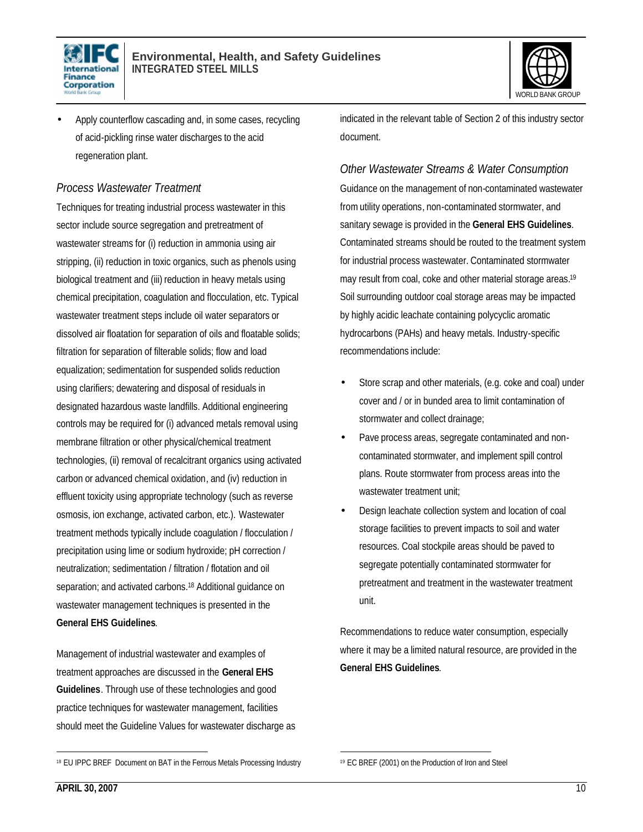



• Apply counterflow cascading and, in some cases, recycling of acid-pickling rinse water discharges to the acid regeneration plant.

#### *Process Wastewater Treatment*

Techniques for treating industrial process wastewater in this sector include source segregation and pretreatment of wastewater streams for (i) reduction in ammonia using air stripping, (ii) reduction in toxic organics, such as phenols using biological treatment and (iii) reduction in heavy metals using chemical precipitation, coagulation and flocculation, etc. Typical wastewater treatment steps include oil water separators or dissolved air floatation for separation of oils and floatable solids; filtration for separation of filterable solids; flow and load equalization; sedimentation for suspended solids reduction using clarifiers; dewatering and disposal of residuals in designated hazardous waste landfills. Additional engineering controls may be required for (i) advanced metals removal using membrane filtration or other physical/chemical treatment technologies, (ii) removal of recalcitrant organics using activated carbon or advanced chemical oxidation, and (iv) reduction in effluent toxicity using appropriate technology (such as reverse osmosis, ion exchange, activated carbon, etc.). Wastewater treatment methods typically include coagulation / flocculation / precipitation using lime or sodium hydroxide; pH correction / neutralization; sedimentation / filtration / flotation and oil separation; and activated carbons.<sup>18</sup> Additional guidance on wastewater management techniques is presented in the **General EHS Guidelines**.

Management of industrial wastewater and examples of treatment approaches are discussed in the **General EHS Guidelines**. Through use of these technologies and good practice techniques for wastewater management, facilities should meet the Guideline Values for wastewater discharge as indicated in the relevant table of Section 2 of this industry sector document.

### *Other Wastewater Streams & Water Consumption*

Guidance on the management of non-contaminated wastewater from utility operations, non-contaminated stormwater, and sanitary sewage is provided in the **General EHS Guidelines**. Contaminated streams should be routed to the treatment system for industrial process wastewater. Contaminated stormwater may result from coal, coke and other material storage areas.<sup>19</sup> Soil surrounding outdoor coal storage areas may be impacted by highly acidic leachate containing polycyclic aromatic hydrocarbons (PAHs) and heavy metals. Industry-specific recommendations include:

- Store scrap and other materials, (e.g. coke and coal) under cover and / or in bunded area to limit contamination of stormwater and collect drainage;
- Pave process areas, segregate contaminated and noncontaminated stormwater, and implement spill control plans. Route stormwater from process areas into the wastewater treatment unit:
- Design leachate collection system and location of coal storage facilities to prevent impacts to soil and water resources. Coal stockpile areas should be paved to segregate potentially contaminated stormwater for pretreatment and treatment in the wastewater treatment unit.

Recommendations to reduce water consumption, especially where it may be a limited natural resource, are provided in the **General EHS Guidelines**.

<sup>18</sup> EU IPPC BREF Document on BAT in the Ferrous Metals Processing Industry

 $\overline{a}$ <sup>19</sup> EC BREF (2001) on the Production of Iron and Steel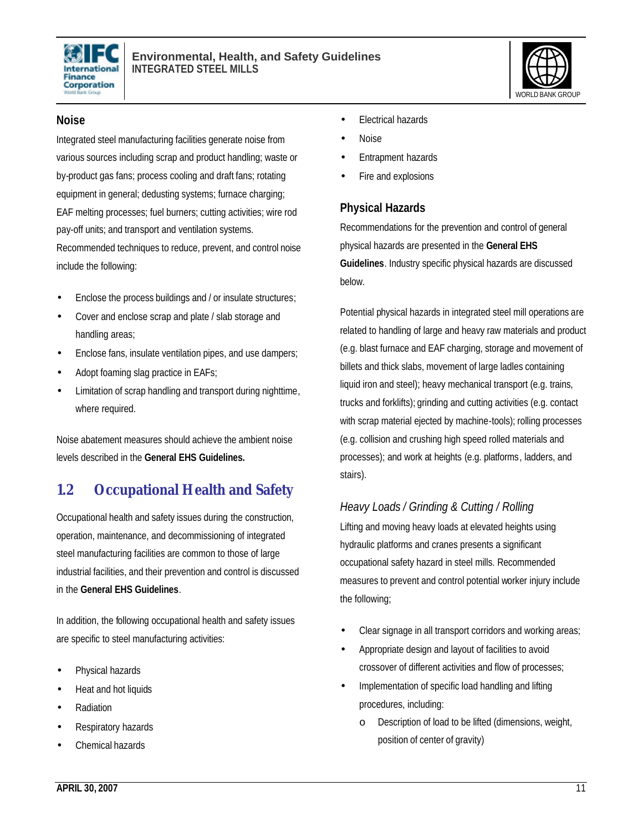



#### **Noise**

Integrated steel manufacturing facilities generate noise from various sources including scrap and product handling; waste or by-product gas fans; process cooling and draft fans; rotating equipment in general; dedusting systems; furnace charging; EAF melting processes; fuel burners; cutting activities; wire rod pay-off units; and transport and ventilation systems. Recommended techniques to reduce, prevent, and control noise include the following:

- Enclose the process buildings and / or insulate structures;
- Cover and enclose scrap and plate / slab storage and handling areas;
- Enclose fans, insulate ventilation pipes, and use dampers;
- Adopt foaming slag practice in EAFs;
- Limitation of scrap handling and transport during nighttime, where required.

Noise abatement measures should achieve the ambient noise levels described in the **General EHS Guidelines.**

## **1.2 Occupational Health and Safety**

Occupational health and safety issues during the construction, operation, maintenance, and decommissioning of integrated steel manufacturing facilities are common to those of large industrial facilities, and their prevention and control is discussed in the **General EHS Guidelines**.

In addition, the following occupational health and safety issues are specific to steel manufacturing activities:

- Physical hazards
- Heat and hot liquids
- Radiation
- Respiratory hazards
- Chemical hazards
- **Electrical hazards**
- Noise
- Entrapment hazards
- Fire and explosions

#### **Physical Hazards**

Recommendations for the prevention and control of general physical hazards are presented in the **General EHS Guidelines**. Industry specific physical hazards are discussed below.

Potential physical hazards in integrated steel mill operations are related to handling of large and heavy raw materials and product (e.g. blast furnace and EAF charging, storage and movement of billets and thick slabs, movement of large ladles containing liquid iron and steel); heavy mechanical transport (e.g. trains, trucks and forklifts); grinding and cutting activities (e.g. contact with scrap material ejected by machine-tools); rolling processes (e.g. collision and crushing high speed rolled materials and processes); and work at heights (e.g. platforms, ladders, and stairs).

## *Heavy Loads / Grinding & Cutting / Rolling*

Lifting and moving heavy loads at elevated heights using hydraulic platforms and cranes presents a significant occupational safety hazard in steel mills. Recommended measures to prevent and control potential worker injury include the following;

- Clear signage in all transport corridors and working areas;
- Appropriate design and layout of facilities to avoid crossover of different activities and flow of processes;
- Implementation of specific load handling and lifting procedures, including:
	- o Description of load to be lifted (dimensions, weight, position of center of gravity)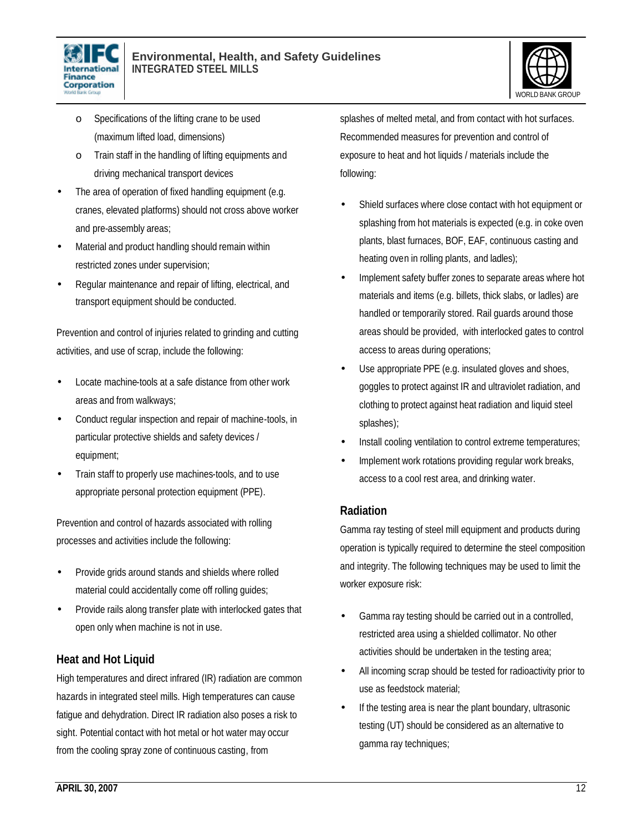



- o Specifications of the lifting crane to be used (maximum lifted load, dimensions)
- o Train staff in the handling of lifting equipments and driving mechanical transport devices
- The area of operation of fixed handling equipment (e.g. cranes, elevated platforms) should not cross above worker and pre-assembly areas;
- Material and product handling should remain within restricted zones under supervision;
- Regular maintenance and repair of lifting, electrical, and transport equipment should be conducted.

Prevention and control of injuries related to grinding and cutting activities, and use of scrap, include the following:

- Locate machine-tools at a safe distance from other work areas and from walkways;
- Conduct regular inspection and repair of machine-tools, in particular protective shields and safety devices / equipment;
- Train staff to properly use machines-tools, and to use appropriate personal protection equipment (PPE).

Prevention and control of hazards associated with rolling processes and activities include the following:

- Provide grids around stands and shields where rolled material could accidentally come off rolling guides;
- Provide rails along transfer plate with interlocked gates that open only when machine is not in use.

## **Heat and Hot Liquid**

High temperatures and direct infrared (IR) radiation are common hazards in integrated steel mills. High temperatures can cause fatigue and dehydration. Direct IR radiation also poses a risk to sight. Potential contact with hot metal or hot water may occur from the cooling spray zone of continuous casting, from

splashes of melted metal, and from contact with hot surfaces. Recommended measures for prevention and control of exposure to heat and hot liquids / materials include the following:

- Shield surfaces where close contact with hot equipment or splashing from hot materials is expected (e.g. in coke oven plants, blast furnaces, BOF, EAF, continuous casting and heating oven in rolling plants, and ladles);
- Implement safety buffer zones to separate areas where hot materials and items (e.g. billets, thick slabs, or ladles) are handled or temporarily stored. Rail guards around those areas should be provided, with interlocked gates to control access to areas during operations;
- Use appropriate PPE (e.g. insulated gloves and shoes, goggles to protect against IR and ultraviolet radiation, and clothing to protect against heat radiation and liquid steel splashes);
- Install cooling ventilation to control extreme temperatures;
- Implement work rotations providing regular work breaks, access to a cool rest area, and drinking water.

### **Radiation**

Gamma ray testing of steel mill equipment and products during operation is typically required to determine the steel composition and integrity. The following techniques may be used to limit the worker exposure risk:

- Gamma ray testing should be carried out in a controlled, restricted area using a shielded collimator. No other activities should be undertaken in the testing area;
- All incoming scrap should be tested for radioactivity prior to use as feedstock material;
- If the testing area is near the plant boundary, ultrasonic testing (UT) should be considered as an alternative to gamma ray techniques;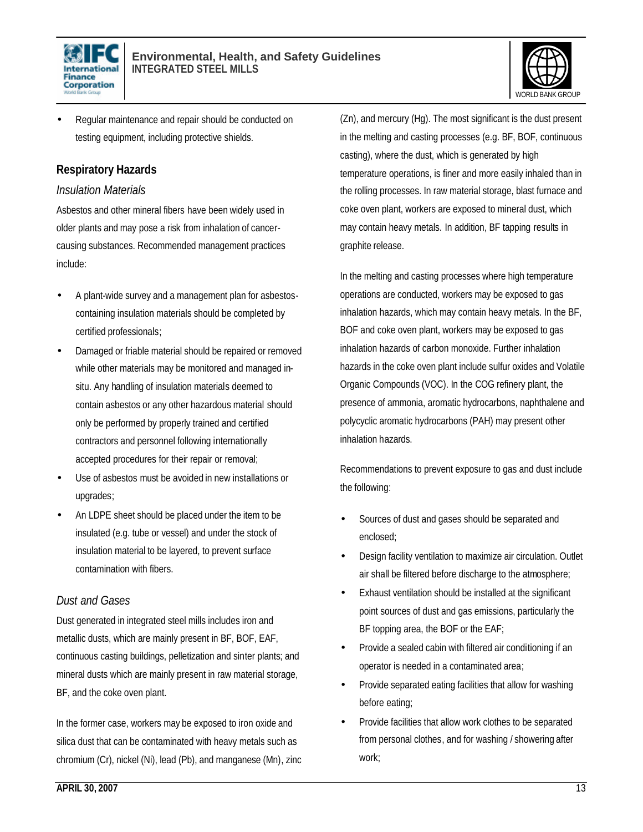



• Regular maintenance and repair should be conducted on testing equipment, including protective shields.

### **Respiratory Hazards**

#### *Insulation Materials*

Asbestos and other mineral fibers have been widely used in older plants and may pose a risk from inhalation of cancercausing substances. Recommended management practices include:

- A plant-wide survey and a management plan for asbestoscontaining insulation materials should be completed by certified professionals;
- Damaged or friable material should be repaired or removed while other materials may be monitored and managed insitu. Any handling of insulation materials deemed to contain asbestos or any other hazardous material should only be performed by properly trained and certified contractors and personnel following internationally accepted procedures for their repair or removal;
- Use of asbestos must be avoided in new installations or upgrades;
- An LDPE sheet should be placed under the item to be insulated (e.g. tube or vessel) and under the stock of insulation material to be layered, to prevent surface contamination with fibers.

### *Dust and Gases*

Dust generated in integrated steel mills includes iron and metallic dusts, which are mainly present in BF, BOF, EAF, continuous casting buildings, pelletization and sinter plants; and mineral dusts which are mainly present in raw material storage, BF, and the coke oven plant.

In the former case, workers may be exposed to iron oxide and silica dust that can be contaminated with heavy metals such as chromium (Cr), nickel (Ni), lead (Pb), and manganese (Mn), zinc

(Zn), and mercury (Hg). The most significant is the dust present in the melting and casting processes (e.g. BF, BOF, continuous casting), where the dust, which is generated by high temperature operations, is finer and more easily inhaled than in the rolling processes. In raw material storage, blast furnace and coke oven plant, workers are exposed to mineral dust, which may contain heavy metals. In addition, BF tapping results in graphite release.

In the melting and casting processes where high temperature operations are conducted, workers may be exposed to gas inhalation hazards, which may contain heavy metals. In the BF, BOF and coke oven plant, workers may be exposed to gas inhalation hazards of carbon monoxide. Further inhalation hazards in the coke oven plant include sulfur oxides and Volatile Organic Compounds (VOC). In the COG refinery plant, the presence of ammonia, aromatic hydrocarbons, naphthalene and polycyclic aromatic hydrocarbons (PAH) may present other inhalation hazards.

Recommendations to prevent exposure to gas and dust include the following:

- Sources of dust and gases should be separated and enclosed;
- Design facility ventilation to maximize air circulation. Outlet air shall be filtered before discharge to the atmosphere;
- Exhaust ventilation should be installed at the significant point sources of dust and gas emissions, particularly the BF topping area, the BOF or the EAF;
- Provide a sealed cabin with filtered air conditioning if an operator is needed in a contaminated area;
- Provide separated eating facilities that allow for washing before eating;
- Provide facilities that allow work clothes to be separated from personal clothes, and for washing / showering after work;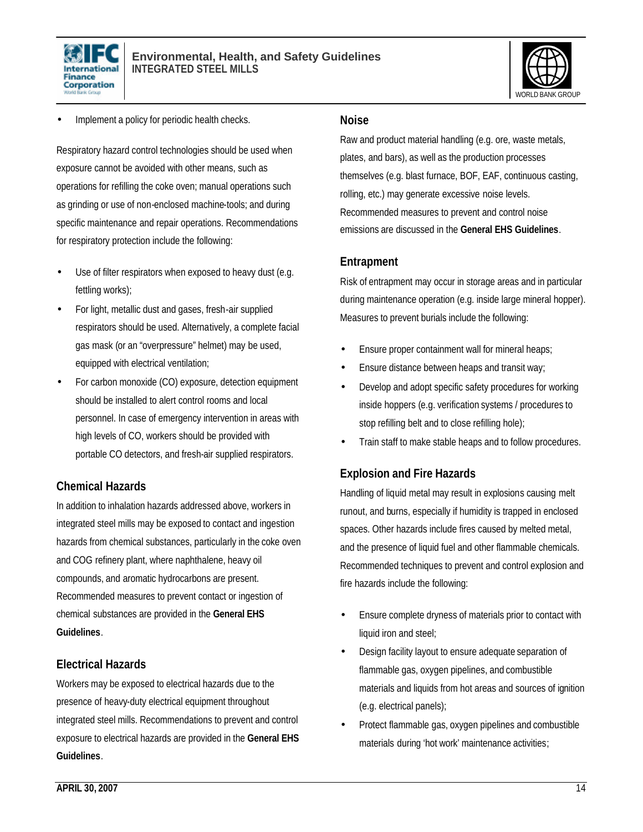



Implement a policy for periodic health checks.

Respiratory hazard control technologies should be used when exposure cannot be avoided with other means, such as operations for refilling the coke oven; manual operations such as grinding or use of non-enclosed machine-tools; and during specific maintenance and repair operations. Recommendations for respiratory protection include the following:

- Use of filter respirators when exposed to heavy dust (e.g. fettling works);
- For light, metallic dust and gases, fresh-air supplied respirators should be used. Alternatively, a complete facial gas mask (or an "overpressure" helmet) may be used, equipped with electrical ventilation;
- For carbon monoxide (CO) exposure, detection equipment should be installed to alert control rooms and local personnel. In case of emergency intervention in areas with high levels of CO, workers should be provided with portable CO detectors, and fresh-air supplied respirators.

#### **Chemical Hazards**

In addition to inhalation hazards addressed above, workers in integrated steel mills may be exposed to contact and ingestion hazards from chemical substances, particularly in the coke oven and COG refinery plant, where naphthalene, heavy oil compounds, and aromatic hydrocarbons are present. Recommended measures to prevent contact or ingestion of chemical substances are provided in the **General EHS Guidelines**.

### **Electrical Hazards**

Workers may be exposed to electrical hazards due to the presence of heavy-duty electrical equipment throughout integrated steel mills. Recommendations to prevent and control exposure to electrical hazards are provided in the **General EHS Guidelines**.

#### **Noise**

Raw and product material handling (e.g. ore, waste metals, plates, and bars), as well as the production processes themselves (e.g. blast furnace, BOF, EAF, continuous casting, rolling, etc.) may generate excessive noise levels. Recommended measures to prevent and control noise emissions are discussed in the **General EHS Guidelines**.

#### **Entrapment**

Risk of entrapment may occur in storage areas and in particular during maintenance operation (e.g. inside large mineral hopper). Measures to prevent burials include the following:

- Ensure proper containment wall for mineral heaps;
- Ensure distance between heaps and transit way;
- Develop and adopt specific safety procedures for working inside hoppers (e.g. verification systems / procedures to stop refilling belt and to close refilling hole);
- Train staff to make stable heaps and to follow procedures.

## **Explosion and Fire Hazards**

Handling of liquid metal may result in explosions causing melt runout, and burns, especially if humidity is trapped in enclosed spaces. Other hazards include fires caused by melted metal, and the presence of liquid fuel and other flammable chemicals. Recommended techniques to prevent and control explosion and fire hazards include the following:

- Ensure complete dryness of materials prior to contact with liquid iron and steel;
- Design facility layout to ensure adequate separation of flammable gas, oxygen pipelines, and combustible materials and liquids from hot areas and sources of ignition (e.g. electrical panels);
- Protect flammable gas, oxygen pipelines and combustible materials during 'hot work' maintenance activities;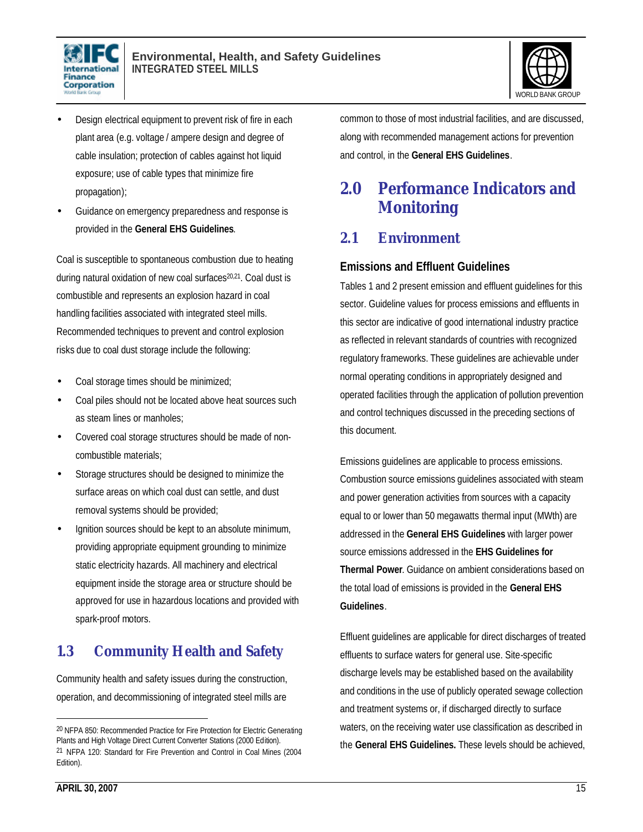



- Design electrical equipment to prevent risk of fire in each plant area (e.g. voltage / ampere design and degree of cable insulation; protection of cables against hot liquid exposure; use of cable types that minimize fire propagation);
- Guidance on emergency preparedness and response is provided in the **General EHS Guidelines**.

Coal is susceptible to spontaneous combustion due to heating during natural oxidation of new coal surfaces<sup>20,21</sup>. Coal dust is combustible and represents an explosion hazard in coal handling facilities associated with integrated steel mills. Recommended techniques to prevent and control explosion risks due to coal dust storage include the following:

- Coal storage times should be minimized;
- Coal piles should not be located above heat sources such as steam lines or manholes;
- Covered coal storage structures should be made of noncombustible materials;
- Storage structures should be designed to minimize the surface areas on which coal dust can settle, and dust removal systems should be provided;
- Ignition sources should be kept to an absolute minimum, providing appropriate equipment grounding to minimize static electricity hazards. All machinery and electrical equipment inside the storage area or structure should be approved for use in hazardous locations and provided with spark-proof motors.

## **1.3 Community Health and Safety**

Community health and safety issues during the construction, operation, and decommissioning of integrated steel mills are

common to those of most industrial facilities, and are discussed, along with recommended management actions for prevention and control, in the **General EHS Guidelines**.

## **2.0 Performance Indicators and Monitoring**

## **2.1 Environment**

## **Emissions and Effluent Guidelines**

Tables 1 and 2 present emission and effluent guidelines for this sector. Guideline values for process emissions and effluents in this sector are indicative of good international industry practice as reflected in relevant standards of countries with recognized regulatory frameworks. These guidelines are achievable under normal operating conditions in appropriately designed and operated facilities through the application of pollution prevention and control techniques discussed in the preceding sections of this document.

Emissions guidelines are applicable to process emissions. Combustion source emissions guidelines associated with steam and power generation activities from sources with a capacity equal to or lower than 50 megawatts thermal input (MWth) are addressed in the **General EHS Guidelines** with larger power source emissions addressed in the **EHS Guidelines for Thermal Power**. Guidance on ambient considerations based on the total load of emissions is provided in the **General EHS Guidelines**.

Effluent guidelines are applicable for direct discharges of treated effluents to surface waters for general use. Site-specific discharge levels may be established based on the availability and conditions in the use of publicly operated sewage collection and treatment systems or, if discharged directly to surface waters, on the receiving water use classification as described in the **General EHS Guidelines.** These levels should be achieved,

<sup>20</sup> NFPA 850: Recommended Practice for Fire Protection for Electric Generating Plants and High Voltage Direct Current Converter Stations (2000 Edition). 21 NFPA 120: Standard for Fire Prevention and Control in Coal Mines (2004 Edition).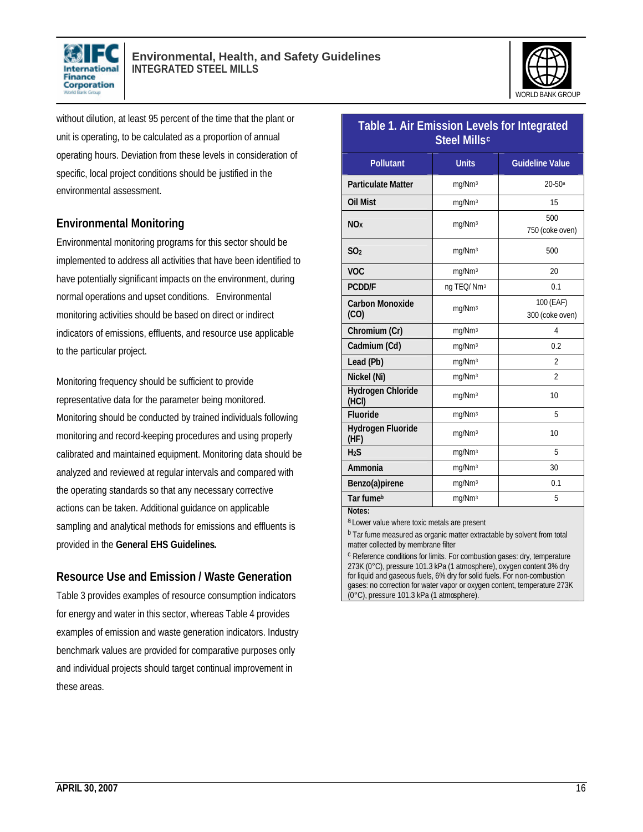



without dilution, at least 95 percent of the time that the plant or unit is operating, to be calculated as a proportion of annual operating hours. Deviation from these levels in consideration of specific, local project conditions should be justified in the environmental assessment.

## **Environmental Monitoring**

Environmental monitoring programs for this sector should be implemented to address all activities that have been identified to have potentially significant impacts on the environment, during normal operations and upset conditions. Environmental monitoring activities should be based on direct or indirect indicators of emissions, effluents, and resource use applicable to the particular project.

Monitoring frequency should be sufficient to provide representative data for the parameter being monitored. Monitoring should be conducted by trained individuals following monitoring and record-keeping procedures and using properly calibrated and maintained equipment. Monitoring data should be analyzed and reviewed at regular intervals and compared with the operating standards so that any necessary corrective actions can be taken. Additional guidance on applicable sampling and analytical methods for emissions and effluents is provided in the **General EHS Guidelines.**

## **Resource Use and Emission / Waste Generation**

Table 3 provides examples of resource consumption indicators for energy and water in this sector, whereas Table 4 provides examples of emission and waste generation indicators. Industry benchmark values are provided for comparative purposes only and individual projects should target continual improvement in these areas.

| <b>Table 1. Air Emission Levels for Integrated</b><br><b>Steel Millsc</b> |                        |                              |  |  |  |
|---------------------------------------------------------------------------|------------------------|------------------------------|--|--|--|
| <b>Pollutant</b>                                                          | <b>Units</b>           | <b>Guideline Value</b>       |  |  |  |
| <b>Particulate Matter</b>                                                 | mg/Nm <sup>3</sup>     | $20 - 50$ <sup>a</sup>       |  |  |  |
| <b>Oil Mist</b>                                                           | mg/Nm <sup>3</sup>     | 15                           |  |  |  |
| N <sub>Ox</sub>                                                           | mg/Nm <sup>3</sup>     | 500<br>750 (coke oven)       |  |  |  |
| SO <sub>2</sub>                                                           | mg/Nm <sup>3</sup>     | 500                          |  |  |  |
| <b>VOC</b>                                                                | mg/Nm <sup>3</sup>     | 20                           |  |  |  |
| <b>PCDD/F</b>                                                             | ng TEQ/Nm <sup>3</sup> | 0.1                          |  |  |  |
| <b>Carbon Monoxide</b><br>(CO)                                            | mg/Nm <sup>3</sup>     | 100 (EAF)<br>300 (coke oven) |  |  |  |
| Chromium (Cr)                                                             | mg/Nm <sup>3</sup>     | 4                            |  |  |  |
| Cadmium (Cd)                                                              | mg/Nm <sup>3</sup>     | 0.2                          |  |  |  |
| Lead (Pb)                                                                 | mg/Nm <sup>3</sup>     | $\overline{2}$               |  |  |  |
| Nickel (Ni)                                                               | mg/Nm <sup>3</sup>     | $\overline{2}$               |  |  |  |
| <b>Hydrogen Chloride</b><br>(HCI)                                         | mg/Nm <sup>3</sup>     | 10                           |  |  |  |
| Fluoride                                                                  | mg/Nm <sup>3</sup>     | 5                            |  |  |  |
| <b>Hydrogen Fluoride</b><br>(HF)                                          | mg/Nm <sup>3</sup>     | 10                           |  |  |  |
| H <sub>2</sub> S                                                          | mg/Nm <sup>3</sup>     | 5                            |  |  |  |
| Ammonia                                                                   | mg/Nm <sup>3</sup>     | 30                           |  |  |  |
| Benzo(a)pirene                                                            | mg/Nm <sup>3</sup>     | 0.1                          |  |  |  |
| Tar fumeb                                                                 | mg/Nm <sup>3</sup>     | 5                            |  |  |  |
| Notes:<br>$\sim$ $\sim$                                                   |                        |                              |  |  |  |

a Lower value where toxic metals are present

b Tar fume measured as organic matter extractable by solvent from total matter collected by membrane filter

c Reference conditions for limits. For combustion gases: dry, temperature 273K (0°C), pressure 101.3 kPa (1 atmosphere), oxygen content 3% dry for liquid and gaseous fuels, 6% dry for solid fuels. For non-combustion gases: no correction for water vapor or oxygen content, temperature 273K (0°C), pressure 101.3 kPa (1 atmosphere).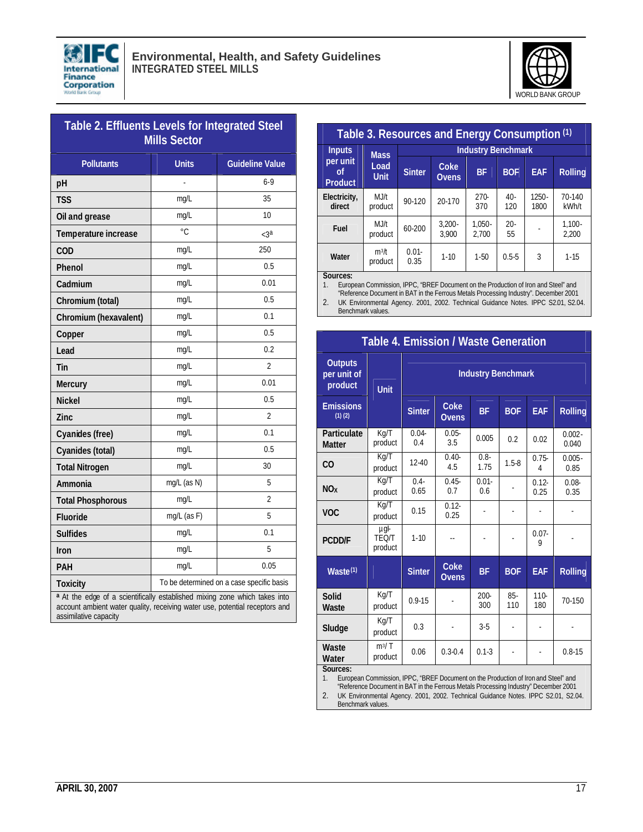



| Table 2. Effluents Levels for Integrated Steel<br><b>Mills Sector</b> |                                           |                        |  |  |  |
|-----------------------------------------------------------------------|-------------------------------------------|------------------------|--|--|--|
| <b>Pollutants</b>                                                     | <b>Units</b>                              | <b>Guideline Value</b> |  |  |  |
| pH                                                                    |                                           | $6-9$                  |  |  |  |
| <b>TSS</b>                                                            | mg/L                                      | 35                     |  |  |  |
| Oil and grease                                                        | mg/L                                      | 10                     |  |  |  |
| Temperature increase                                                  | $\circ$ C.                                | $< 3^a$                |  |  |  |
| COD                                                                   | mg/L                                      | 250                    |  |  |  |
| Phenol                                                                | mg/L                                      | 0.5                    |  |  |  |
| Cadmium                                                               | mg/L                                      | 0.01                   |  |  |  |
| Chromium (total)                                                      | mg/L                                      | 0.5                    |  |  |  |
| Chromium (hexavalent)                                                 | mg/L                                      | 0.1                    |  |  |  |
| Copper                                                                | mg/L                                      | 0.5                    |  |  |  |
| Lead                                                                  | mg/L                                      | 0.2                    |  |  |  |
| Tin                                                                   | mg/L                                      | $\overline{2}$         |  |  |  |
| Mercury                                                               | mg/L                                      | 0.01                   |  |  |  |
| <b>Nickel</b>                                                         | mg/L                                      | 0.5                    |  |  |  |
| Zinc                                                                  | mg/L                                      | $\overline{2}$         |  |  |  |
| Cyanides (free)                                                       | mg/L                                      | 0.1                    |  |  |  |
| Cyanides (total)                                                      | mg/L                                      | 0.5                    |  |  |  |
| <b>Total Nitrogen</b>                                                 | mg/L                                      | 30                     |  |  |  |
| Ammonia                                                               | mg/L (as N)                               | 5                      |  |  |  |
| <b>Total Phosphorous</b>                                              | mg/L                                      | 2                      |  |  |  |
| <b>Fluoride</b>                                                       | mg/L (as F)                               | 5                      |  |  |  |
| <b>Sulfides</b>                                                       | mg/L                                      | 0.1                    |  |  |  |
| <b>Iron</b>                                                           | mg/L                                      | 5                      |  |  |  |
| <b>PAH</b>                                                            | mg/L                                      | 0.05                   |  |  |  |
| <b>Toxicity</b>                                                       | To be determined on a case specific basis |                        |  |  |  |

**<sup>a</sup>** At the edge of a scientifically established mixing zone which takes into account ambient water quality, receiving water use, potential receptors and assimilative capacity

| Table 3. Resources and Energy Consumption (1) |                                    |                           |                      |                    |               |                  |                    |
|-----------------------------------------------|------------------------------------|---------------------------|----------------------|--------------------|---------------|------------------|--------------------|
| <b>Inputs</b>                                 | <b>Mass</b><br>Load<br><b>Unit</b> | <b>Industry Benchmark</b> |                      |                    |               |                  |                    |
| per unit<br>οf<br><b>Product</b>              |                                    | <b>Sinter</b>             | Coke<br><b>Ovens</b> | <b>BF</b>          | <b>BOF</b>    | EAF              | <b>Rolling</b>     |
| Electricity,<br>direct                        | MJ/t<br>product                    | $90 - 120$                | 20-170               | $270-$<br>370      | $40 -$<br>120 | $1250 -$<br>1800 | $70-140$<br>kWh/t  |
| Fuel                                          | MJ/t<br>product                    | $60 - 200$                | $3.200 -$<br>3.900   | $1.050 -$<br>2.700 | $20 -$<br>55  |                  | $1.100 -$<br>2.200 |
| Water                                         | $m^3/t$<br>product                 | $0.01 -$<br>0.35          | $1 - 10$             | $1 - 50$           | $0.5 - 5$     | 3                | $1 - 15$           |
| Sources:                                      |                                    |                           |                      |                    |               |                  |                    |

**Sources:** 1. European Commission, IPPC, "BREF Document on the Production of Iron and Steel" and

"Reference Document in BAT in the Ferrous Metals Processing Industry". December 2001 2. UK Environmental Agency. 2001, 2002. Technical Guidance Notes. IPPC S2.01, S2.04.

**Table 4. Emission / Waste Generation**

Benchmark values.

| <b>Outputs</b><br>per unit of<br>product | Unit                            | <b>Industry Benchmark</b> |                             |                 |            |                  |                    |
|------------------------------------------|---------------------------------|---------------------------|-----------------------------|-----------------|------------|------------------|--------------------|
| <b>Emissions</b><br>$(1)$ $(2)$          |                                 | <b>Sinter</b>             | Coke<br><b>Ovens</b>        | <b>BF</b>       | <b>BOF</b> | <b>EAF</b>       | <b>Rolling</b>     |
| Particulate<br><b>Matter</b>             | Kg/T<br>product                 | $0.04 -$<br>0.4           | $0.05 -$<br>3.5             | 0.005           | 0.2        | 0.02             | $0.002 -$<br>0.040 |
| CO                                       | Kq/T<br>product                 | 12-40                     | $0.40 -$<br>4.5             | $0.8 -$<br>1.75 | $1.5 - 8$  | $0.75 -$<br>4    | $0.005 -$<br>0.85  |
| NO <sub>x</sub>                          | Kg/T<br>product                 | $0.4 -$<br>0.65           | $0.45 -$<br>0.7             | $0.01 -$<br>0.6 |            | $0.12 -$<br>0.25 | $0.08 -$<br>0.35   |
| <b>VOC</b>                               | Kg/T<br>product                 | 0.15                      | $0.12 -$<br>0.25            |                 | ٠          |                  |                    |
| <b>PCDD/F</b>                            | µgl-<br><b>TEO/T</b><br>product | $1 - 10$                  | $\overline{\phantom{a}}$    |                 |            | $0.07 -$<br>9    |                    |
| Waste <sup>(1)</sup>                     |                                 | <b>Sinter</b>             | <b>Coke</b><br><b>Ovens</b> | <b>BF</b>       | <b>BOF</b> | EAF              | <b>Rolling</b>     |
| Solid<br>Waste                           | Kg/T<br>product                 | $0.9 - 15$                |                             | $200 -$<br>300  | 85-<br>110 | $110 -$<br>180   | 70-150             |
| Sludge                                   | Kg/T<br>product                 | 0.3                       |                             | $3 - 5$         |            |                  |                    |
| Waste<br>Water                           | $m^3/T$<br>product              | 0.06                      | $0.3 - 0.4$                 | $0.1 - 3$       | ÷,         | ٠                | $0.8 - 15$         |
| Sources:                                 |                                 |                           |                             |                 |            |                  |                    |

1. European Commission, IPPC, "BREF Document on the Production of Iron and Steel" and "Reference Document in BAT in the Ferrous Metals Processing Industry" December 2001

2. UK Environmental Agency. 2001, 2002. Technical Guidance Notes. IPPC S2.01, S2.04. Benchmark values.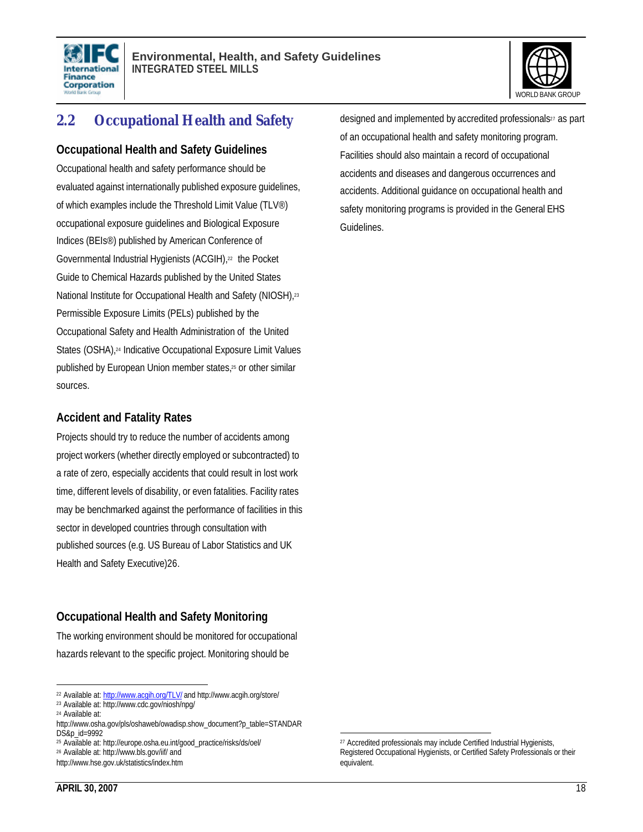



## **2.2 Occupational Health and Safety**

#### **Occupational Health and Safety Guidelines**

Occupational health and safety performance should be evaluated against internationally published exposure guidelines, of which examples include the Threshold Limit Value (TLV®) occupational exposure guidelines and Biological Exposure Indices (BEIs®) published by American Conference of Governmental Industrial Hygienists (ACGIH),<sup>22</sup> the Pocket Guide to Chemical Hazards published by the United States National Institute for Occupational Health and Safety (NIOSH),<sup>23</sup> Permissible Exposure Limits (PELs) published by the Occupational Safety and Health Administration of the United States (OSHA),<sup>24</sup> Indicative Occupational Exposure Limit Values published by European Union member states,<sup>25</sup> or other similar sources.

### **Accident and Fatality Rates**

Projects should try to reduce the number of accidents among project workers (whether directly employed or subcontracted) to a rate of zero, especially accidents that could result in lost work time, different levels of disability, or even fatalities. Facility rates may be benchmarked against the performance of facilities in this sector in developed countries through consultation with published sources (e.g. US Bureau of Labor Statistics and UK Health and Safety Executive)26.

## **Occupational Health and Safety Monitoring**

The working environment should be monitored for occupational hazards relevant to the specific project. Monitoring should be

l <sup>22</sup> Available at: http://www.acqih.org/TLV/ and http://www.acgih.org/store/

<sup>26</sup> Available at: http://www.bls.gov/iif/ and

designed and implemented by accredited professionals<sup>27</sup> as part of an occupational health and safety monitoring program. Facilities should also maintain a record of occupational accidents and diseases and dangerous occurrences and accidents. Additional guidance on occupational health and safety monitoring programs is provided in the General EHS Guidelines.

<sup>23</sup> Available at: http://www.cdc.gov/niosh/npg/ <sup>24</sup> Available at:

http://www.osha.gov/pls/oshaweb/owadisp.show\_document?p\_table=STANDAR DS&p\_id=9992

<sup>25</sup> Available at: http://europe.osha.eu.int/good\_practice/risks/ds/oel/

http://www.hse.gov.uk/statistics/index.htm

<sup>27</sup> Accredited professionals may include Certified Industrial Hygienists, Registered Occupational Hygienists, or Certified Safety Professionals or their equivalent.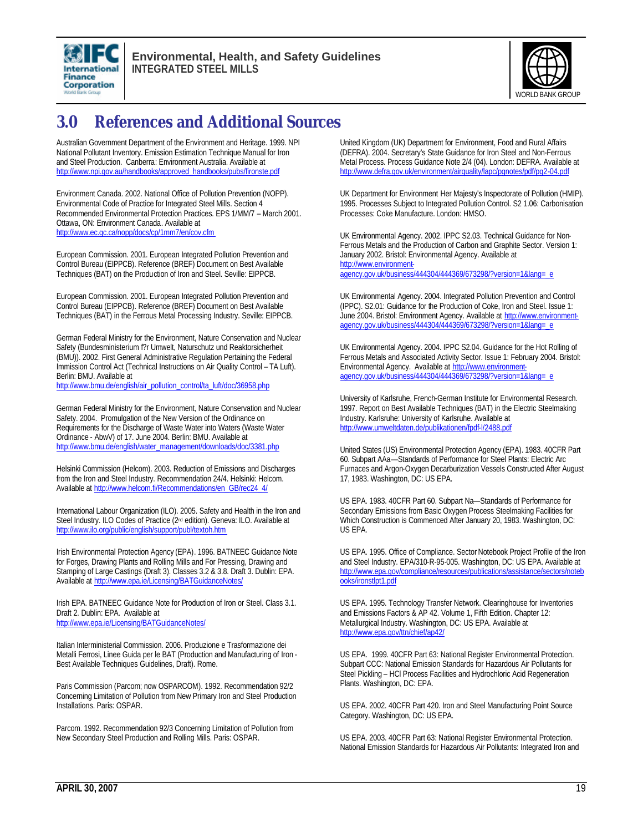



## **3.0 References and Additional Sources**

Australian Government Department of the Environment and Heritage. 1999. NPI National Pollutant Inventory. Emission Estimation Technique Manual for Iron and Steel Production. Canberra: Environment Australia. Available at http://www.npi.gov.au/handbooks/approved\_handbooks/pubs/fironste.pdf

Environment Canada. 2002. National Office of Pollution Prevention (NOPP). Environmental Code of Practice for Integrated Steel Mills. Section 4 Recommended Environmental Protection Practices. EPS 1/MM/7 – March 2001. Ottawa, ON: Environment Canada. Available at http://www.ec.gc.ca/nopp/docs/cp/1mm7/en/cov.cfm

European Commission. 2001. European Integrated Pollution Prevention and Control Bureau (EIPPCB). Reference (BREF) Document on Best Available Techniques (BAT) on the Production of Iron and Steel. Seville: EIPPCB.

European Commission. 2001. European Integrated Pollution Prevention and Control Bureau (EIPPCB). Reference (BREF) Document on Best Available Techniques (BAT) in the Ferrous Metal Processing Industry. Seville: EIPPCB.

German Federal Ministry for the Environment, Nature Conservation and Nuclear Safety (Bundesministerium f?r Umwelt, Naturschutz und Reaktorsicherheit (BMU)). 2002. First General Administrative Regulation Pertaining the Federal Immission Control Act (Technical Instructions on Air Quality Control – TA Luft). Berlin: BMU. Available at

http://www.bmu.de/english/air\_pollution\_control/ta\_luft/doc/36958.php

German Federal Ministry for the Environment, Nature Conservation and Nuclear Safety. 2004. Promulgation of the New Version of the Ordinance on Requirements for the Discharge of Waste Water into Waters (Waste Water Ordinance - AbwV) of 17. June 2004. Berlin: BMU. Available at http://www.bmu.de/english/water\_management/downloads/doc/3381.php

Helsinki Commission (Helcom). 2003. Reduction of Emissions and Discharges from the Iron and Steel Industry. Recommendation 24/4. Helsinki: Helcom. Available at http://www.helcom.fi/Recommendations/en\_GB/rec24\_4/

International Labour Organization (ILO). 2005. Safety and Health in the Iron and Steel Industry. ILO Codes of Practice (2<sup>nd</sup> edition). Geneva: ILO. Available at http://www.ilo.org/public/english/support/publ/textoh.htm

Irish Environmental Protection Agency (EPA). 1996. BATNEEC Guidance Note for Forges, Drawing Plants and Rolling Mills and For Pressing, Drawing and Stamping of Large Castings (Draft 3). Classes 3.2 & 3.8. Draft 3. Dublin: EPA. Available at http://www.epa.ie/Licensing/BATGuidanceNotes/

Irish EPA. BATNEEC Guidance Note for Production of Iron or Steel. Class 3.1. Draft 2. Dublin: EPA. Available at http://www.epa.ie/Licensing/BATGuidanceNotes/

Italian Interministerial Commission. 2006. Produzione e Trasformazione dei Metalli Ferrosi, Linee Guida per le BAT (Production and Manufacturing of Iron - Best Available Techniques Guidelines, Draft). Rome.

Paris Commission (Parcom; now OSPARCOM). 1992. Recommendation 92/2 Concerning Limitation of Pollution from New Primary Iron and Steel Production Installations. Paris: OSPAR.

Parcom. 1992. Recommendation 92/3 Concerning Limitation of Pollution from New Secondary Steel Production and Rolling Mills. Paris: OSPAR.

United Kingdom (UK) Department for Environment, Food and Rural Affairs (DEFRA). 2004. Secretary's State Guidance for Iron Steel and Non-Ferrous Metal Process. Process Guidance Note 2/4 (04). London: DEFRA. Available at http://www.defra.gov.uk/environment/airquality/lapc/pgnotes/pdf/pg2-04.pdf

UK Department for Environment Her Majesty's Inspectorate of Pollution (HMIP). 1995. Processes Subject to Integrated Pollution Control. S2 1.06: Carbonisation Processes: Coke Manufacture. London: HMSO.

UK Environmental Agency. 2002. IPPC S2.03. Technical Guidance for Non-Ferrous Metals and the Production of Carbon and Graphite Sector. Version 1: January 2002. Bristol: Environmental Agency. Available at http://www.environment-

agency.gov.uk/business/444304/444369/673298/?version=1&lang=\_e

UK Environmental Agency. 2004. Integrated Pollution Prevention and Control (IPPC). S2.01: Guidance for the Production of Coke, Iron and Steel. Issue 1: June 2004. Bristol: Environment Agency. Available at http://www.environmentagency.gov.uk/business/444304/444369/673298/?version=1&lang=\_e

UK Environmental Agency. 2004. IPPC S2.04. Guidance for the Hot Rolling of Ferrous Metals and Associated Activity Sector. Issue 1: February 2004. Bristol: Environmental Agency. Available at http://www.environmentagency.gov.uk/business/444304/444369/673298/?version=1&lang=\_e

University of Karlsruhe, French-German Institute for Environmental Research. 1997. Report on Best Available Techniques (BAT) in the Electric Steelmaking Industry. Karlsruhe: University of Karlsruhe. Available at http://www.umweltdaten.de/publikationen/fpdf-l/2488.pdf

United States (US) Environmental Protection Agency (EPA). 1983. 40CFR Part 60. Subpart AAa—Standards of Performance for Steel Plants: Electric Arc Furnaces and Argon-Oxygen Decarburization Vessels Constructed After August 17, 1983. Washington, DC: US EPA.

US EPA. 1983. 40CFR Part 60. Subpart Na—Standards of Performance for Secondary Emissions from Basic Oxygen Process Steelmaking Facilities for Which Construction is Commenced After January 20, 1983. Washington, DC: US EPA.

US EPA. 1995. Office of Compliance. Sector Notebook Project Profile of the Iron and Steel Industry. EPA/310-R-95-005. Washington, DC: US EPA. Available at http://www.epa.gov/compliance/resources/publications/assistance/sectors/noteb ooks/ironstlpt1.pdf

US EPA. 1995. Technology Transfer Network. Clearinghouse for Inventories and Emissions Factors & AP 42. Volume 1, Fifth Edition. Chapter 12: Metallurgical Industry. Washington, DC: US EPA. Available at http://www.epa.gov/ttn/chief/ap42/

US EPA. 1999. 40CFR Part 63: National Register Environmental Protection. Subpart CCC: National Emission Standards for Hazardous Air Pollutants for Steel Pickling – HCl Process Facilities and Hydrochloric Acid Regeneration Plants. Washington, DC: EPA.

US EPA. 2002. 40CFR Part 420. Iron and Steel Manufacturing Point Source Category. Washington, DC: US EPA.

US EPA. 2003. 40CFR Part 63: National Register Environmental Protection. National Emission Standards for Hazardous Air Pollutants: Integrated Iron and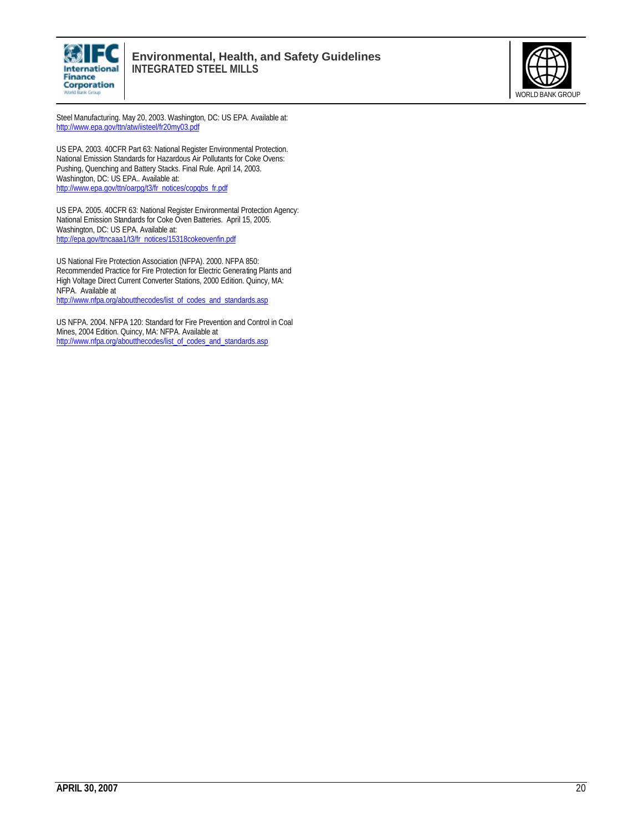



Steel Manufacturing. May 20, 2003. Washington, DC: US EPA. Available at: http://www.epa.gov/ttn/atw/iisteel/fr20my03.pdf

US EPA. 2003. 40CFR Part 63: National Register Environmental Protection. National Emission Standards for Hazardous Air Pollutants for Coke Ovens: Pushing, Quenching and Battery Stacks. Final Rule. April 14, 2003. Washington, DC: US EPA.. Available at: http://www.epa.gov/ttn/oarpg/t3/fr\_notices/copqbs\_fr.pdf

US EPA. 2005. 40CFR 63: National Register Environmental Protection Agency: National Emission Standards for Coke Oven Batteries. April 15, 2005. Washington, DC: US EPA. Available at: http://epa.gov/ttncaaa1/t3/fr\_notices/15318cokeovenfin.pdf

US National Fire Protection Association (NFPA). 2000. NFPA 850: Recommended Practice for Fire Protection for Electric Generating Plants and High Voltage Direct Current Converter Stations, 2000 Edition. Quincy, MA: NFPA. Available at

http://www.nfpa.org/aboutthecodes/list\_of\_codes\_and\_standards.asp

US NFPA. 2004. NFPA 120: Standard for Fire Prevention and Control in Coal Mines, 2004 Edition. Quincy, MA: NFPA. Available at http://www.nfpa.org/aboutthecodes/list\_of\_codes\_and\_standards.asp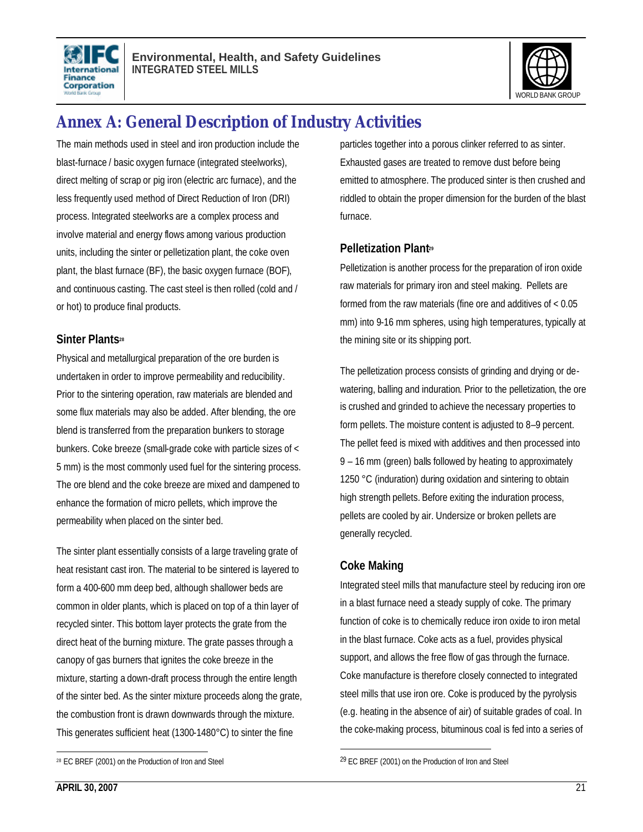



## **Annex A: General Description of Industry Activities**

The main methods used in steel and iron production include the blast-furnace / basic oxygen furnace (integrated steelworks), direct melting of scrap or pig iron (electric arc furnace), and the less frequently used method of Direct Reduction of Iron (DRI) process. Integrated steelworks are a complex process and involve material and energy flows among various production units, including the sinter or pelletization plant, the coke oven plant, the blast furnace (BF), the basic oxygen furnace (BOF), and continuous casting. The cast steel is then rolled (cold and / or hot) to produce final products.

#### **Sinter Plants<sup>28</sup>**

Physical and metallurgical preparation of the ore burden is undertaken in order to improve permeability and reducibility. Prior to the sintering operation, raw materials are blended and some flux materials may also be added. After blending, the ore blend is transferred from the preparation bunkers to storage bunkers. Coke breeze (small-grade coke with particle sizes of < 5 mm) is the most commonly used fuel for the sintering process. The ore blend and the coke breeze are mixed and dampened to enhance the formation of micro pellets, which improve the permeability when placed on the sinter bed.

The sinter plant essentially consists of a large traveling grate of heat resistant cast iron. The material to be sintered is layered to form a 400-600 mm deep bed, although shallower beds are common in older plants, which is placed on top of a thin layer of recycled sinter. This bottom layer protects the grate from the direct heat of the burning mixture. The grate passes through a canopy of gas burners that ignites the coke breeze in the mixture, starting a down-draft process through the entire length of the sinter bed. As the sinter mixture proceeds along the grate, the combustion front is drawn downwards through the mixture. This generates sufficient heat (1300-1480°C) to sinter the fine

particles together into a porous clinker referred to as sinter. Exhausted gases are treated to remove dust before being emitted to atmosphere. The produced sinter is then crushed and riddled to obtain the proper dimension for the burden of the blast furnace.

## **Pelletization Plant<sup>29</sup>**

Pelletization is another process for the preparation of iron oxide raw materials for primary iron and steel making. Pellets are formed from the raw materials (fine ore and additives of < 0.05 mm) into 9-16 mm spheres, using high temperatures, typically at the mining site or its shipping port.

The pelletization process consists of grinding and drying or dewatering, balling and induration. Prior to the pelletization, the ore is crushed and grinded to achieve the necessary properties to form pellets. The moisture content is adjusted to 8–9 percent. The pellet feed is mixed with additives and then processed into 9 – 16 mm (green) balls followed by heating to approximately 1250 °C (induration) during oxidation and sintering to obtain high strength pellets. Before exiting the induration process, pellets are cooled by air. Undersize or broken pellets are generally recycled.

## **Coke Making**

 $\overline{a}$ 

Integrated steel mills that manufacture steel by reducing iron ore in a blast furnace need a steady supply of coke. The primary function of coke is to chemically reduce iron oxide to iron metal in the blast furnace. Coke acts as a fuel, provides physical support, and allows the free flow of gas through the furnace. Coke manufacture is therefore closely connected to integrated steel mills that use iron ore. Coke is produced by the pyrolysis (e.g. heating in the absence of air) of suitable grades of coal. In the coke-making process, bituminous coal is fed into a series of

 $\overline{a}$ <sup>28</sup> EC BREF (2001) on the Production of Iron and Steel

<sup>29</sup> EC BREF (2001) on the Production of Iron and Steel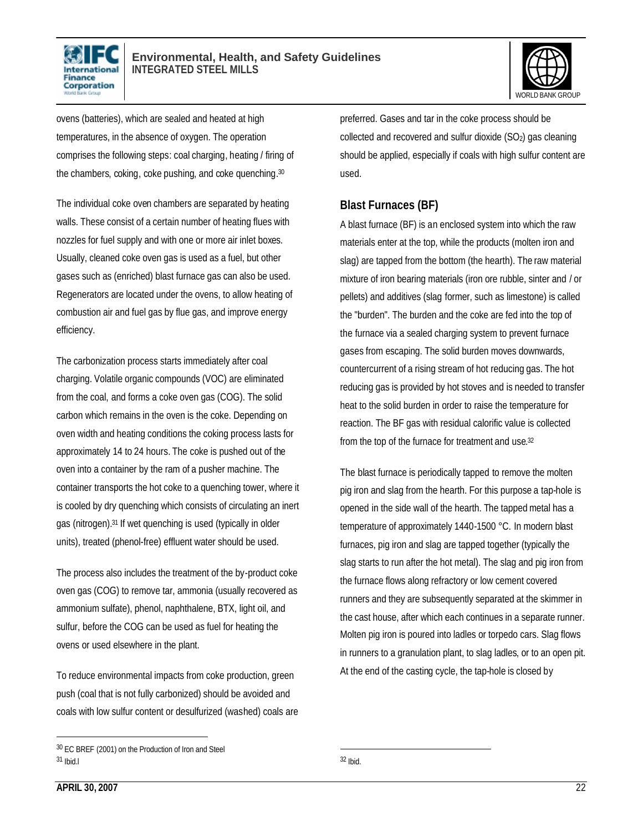



ovens (batteries), which are sealed and heated at high temperatures, in the absence of oxygen. The operation comprises the following steps: coal charging, heating / firing of the chambers, coking, coke pushing, and coke quenching.<sup>30</sup>

The individual coke oven chambers are separated by heating walls. These consist of a certain number of heating flues with nozzles for fuel supply and with one or more air inlet boxes. Usually, cleaned coke oven gas is used as a fuel, but other gases such as (enriched) blast furnace gas can also be used. Regenerators are located under the ovens, to allow heating of combustion air and fuel gas by flue gas, and improve energy efficiency.

The carbonization process starts immediately after coal charging. Volatile organic compounds (VOC) are eliminated from the coal, and forms a coke oven gas (COG). The solid carbon which remains in the oven is the coke. Depending on oven width and heating conditions the coking process lasts for approximately 14 to 24 hours. The coke is pushed out of the oven into a container by the ram of a pusher machine. The container transports the hot coke to a quenching tower, where it is cooled by dry quenching which consists of circulating an inert gas (nitrogen).31 If wet quenching is used (typically in older units), treated (phenol-free) effluent water should be used.

The process also includes the treatment of the by-product coke oven gas (COG) to remove tar, ammonia (usually recovered as ammonium sulfate), phenol, naphthalene, BTX, light oil, and sulfur, before the COG can be used as fuel for heating the ovens or used elsewhere in the plant.

To reduce environmental impacts from coke production, green push (coal that is not fully carbonized) should be avoided and coals with low sulfur content or desulfurized (washed) coals are preferred. Gases and tar in the coke process should be collected and recovered and sulfur dioxide (SO<sub>2</sub>) gas cleaning should be applied, especially if coals with high sulfur content are used.

## **Blast Furnaces (BF)**

A blast furnace (BF) is an enclosed system into which the raw materials enter at the top, while the products (molten iron and slag) are tapped from the bottom (the hearth). The raw material mixture of iron bearing materials (iron ore rubble, sinter and / or pellets) and additives (slag former, such as limestone) is called the "burden". The burden and the coke are fed into the top of the furnace via a sealed charging system to prevent furnace gases from escaping. The solid burden moves downwards, countercurrent of a rising stream of hot reducing gas. The hot reducing gas is provided by hot stoves and is needed to transfer heat to the solid burden in order to raise the temperature for reaction. The BF gas with residual calorific value is collected from the top of the furnace for treatment and use. 32

The blast furnace is periodically tapped to remove the molten pig iron and slag from the hearth. For this purpose a tap-hole is opened in the side wall of the hearth. The tapped metal has a temperature of approximately 1440-1500 °C. In modern blast furnaces, pig iron and slag are tapped together (typically the slag starts to run after the hot metal). The slag and pig iron from the furnace flows along refractory or low cement covered runners and they are subsequently separated at the skimmer in the cast house, after which each continues in a separate runner. Molten pig iron is poured into ladles or torpedo cars. Slag flows in runners to a granulation plant, to slag ladles, or to an open pit. At the end of the casting cycle, the tap-hole is closed by

<sup>30</sup> EC BREF (2001) on the Production of Iron and Steel 31 Ibid.l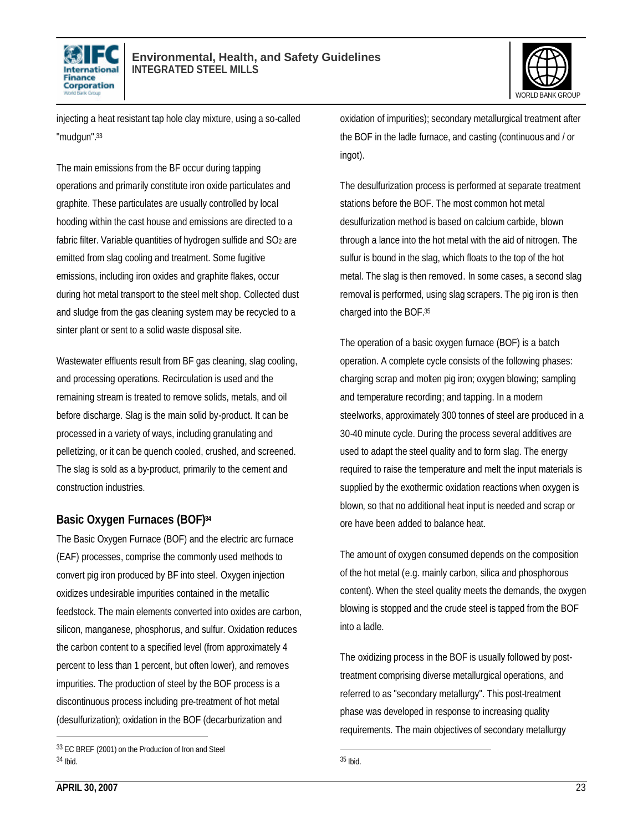



injecting a heat resistant tap hole clay mixture, using a so-called "mudgun".<sup>33</sup>

The main emissions from the BF occur during tapping operations and primarily constitute iron oxide particulates and graphite. These particulates are usually controlled by local hooding within the cast house and emissions are directed to a fabric filter. Variable quantities of hydrogen sulfide and  $SO<sub>2</sub>$  are emitted from slag cooling and treatment. Some fugitive emissions, including iron oxides and graphite flakes, occur during hot metal transport to the steel melt shop. Collected dust and sludge from the gas cleaning system may be recycled to a sinter plant or sent to a solid waste disposal site.

Wastewater effluents result from BF gas cleaning, slag cooling, and processing operations. Recirculation is used and the remaining stream is treated to remove solids, metals, and oil before discharge. Slag is the main solid by-product. It can be processed in a variety of ways, including granulating and pelletizing, or it can be quench cooled, crushed, and screened. The slag is sold as a by-product, primarily to the cement and construction industries.

## **Basic Oxygen Furnaces (BOF)<sup>34</sup>**

The Basic Oxygen Furnace (BOF) and the electric arc furnace (EAF) processes, comprise the commonly used methods to convert pig iron produced by BF into steel. Oxygen injection oxidizes undesirable impurities contained in the metallic feedstock. The main elements converted into oxides are carbon, silicon, manganese, phosphorus, and sulfur. Oxidation reduces the carbon content to a specified level (from approximately 4 percent to less than 1 percent, but often lower), and removes impurities. The production of steel by the BOF process is a discontinuous process including pre-treatment of hot metal (desulfurization); oxidation in the BOF (decarburization and

oxidation of impurities); secondary metallurgical treatment after the BOF in the ladle furnace, and casting (continuous and / or ingot).

The desulfurization process is performed at separate treatment stations before the BOF. The most common hot metal desulfurization method is based on calcium carbide, blown through a lance into the hot metal with the aid of nitrogen. The sulfur is bound in the slag, which floats to the top of the hot metal. The slag is then removed. In some cases, a second slag removal is performed, using slag scrapers. The pig iron is then charged into the BOF.<sup>35</sup>

The operation of a basic oxygen furnace (BOF) is a batch operation. A complete cycle consists of the following phases: charging scrap and molten pig iron; oxygen blowing; sampling and temperature recording; and tapping. In a modern steelworks, approximately 300 tonnes of steel are produced in a 30-40 minute cycle. During the process several additives are used to adapt the steel quality and to form slag. The energy required to raise the temperature and melt the input materials is supplied by the exothermic oxidation reactions when oxygen is blown, so that no additional heat input is needed and scrap or ore have been added to balance heat.

The amount of oxygen consumed depends on the composition of the hot metal (e.g. mainly carbon, silica and phosphorous content). When the steel quality meets the demands, the oxygen blowing is stopped and the crude steel is tapped from the BOF into a ladle.

The oxidizing process in the BOF is usually followed by posttreatment comprising diverse metallurgical operations, and referred to as "secondary metallurgy". This post-treatment phase was developed in response to increasing quality requirements. The main objectives of secondary metallurgy

<sup>33</sup> EC BREF (2001) on the Production of Iron and Steel 34 Ibid.

<sup>1</sup> 35 Ibid.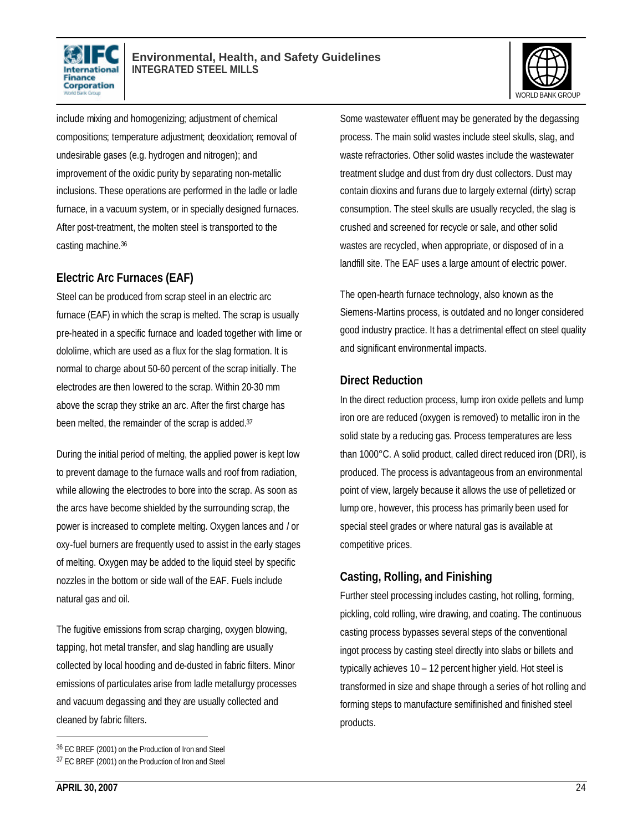



include mixing and homogenizing; adjustment of chemical compositions; temperature adjustment; deoxidation; removal of undesirable gases (e.g. hydrogen and nitrogen); and improvement of the oxidic purity by separating non-metallic inclusions. These operations are performed in the ladle or ladle furnace, in a vacuum system, or in specially designed furnaces. After post-treatment, the molten steel is transported to the casting machine.<sup>36</sup>

## **Electric Arc Furnaces (EAF)**

Steel can be produced from scrap steel in an electric arc furnace (EAF) in which the scrap is melted. The scrap is usually pre-heated in a specific furnace and loaded together with lime or dololime, which are used as a flux for the slag formation. It is normal to charge about 50-60 percent of the scrap initially. The electrodes are then lowered to the scrap. Within 20-30 mm above the scrap they strike an arc. After the first charge has been melted, the remainder of the scrap is added. 37

During the initial period of melting, the applied power is kept low to prevent damage to the furnace walls and roof from radiation, while allowing the electrodes to bore into the scrap. As soon as the arcs have become shielded by the surrounding scrap, the power is increased to complete melting. Oxygen lances and / or oxy-fuel burners are frequently used to assist in the early stages of melting. Oxygen may be added to the liquid steel by specific nozzles in the bottom or side wall of the EAF. Fuels include natural gas and oil.

The fugitive emissions from scrap charging, oxygen blowing, tapping, hot metal transfer, and slag handling are usually collected by local hooding and de-dusted in fabric filters. Minor emissions of particulates arise from ladle metallurgy processes and vacuum degassing and they are usually collected and cleaned by fabric filters.

36 EC BREF (2001) on the Production of Iron and Steel

Some wastewater effluent may be generated by the degassing process. The main solid wastes include steel skulls, slag, and waste refractories. Other solid wastes include the wastewater treatment sludge and dust from dry dust collectors. Dust may contain dioxins and furans due to largely external (dirty) scrap consumption. The steel skulls are usually recycled, the slag is crushed and screened for recycle or sale, and other solid wastes are recycled, when appropriate, or disposed of in a landfill site. The EAF uses a large amount of electric power.

The open-hearth furnace technology, also known as the Siemens-Martins process, is outdated and no longer considered good industry practice. It has a detrimental effect on steel quality and significant environmental impacts.

#### **Direct Reduction**

In the direct reduction process, lump iron oxide pellets and lump iron ore are reduced (oxygen is removed) to metallic iron in the solid state by a reducing gas. Process temperatures are less than 1000°C. A solid product, called direct reduced iron (DRI), is produced. The process is advantageous from an environmental point of view, largely because it allows the use of pelletized or lump ore, however, this process has primarily been used for special steel grades or where natural gas is available at competitive prices.

## **Casting, Rolling, and Finishing**

Further steel processing includes casting, hot rolling, forming, pickling, cold rolling, wire drawing, and coating. The continuous casting process bypasses several steps of the conventional ingot process by casting steel directly into slabs or billets and typically achieves 10 – 12 percent higher yield. Hot steel is transformed in size and shape through a series of hot rolling and forming steps to manufacture semifinished and finished steel products.

<sup>37</sup> EC BREF (2001) on the Production of Iron and Steel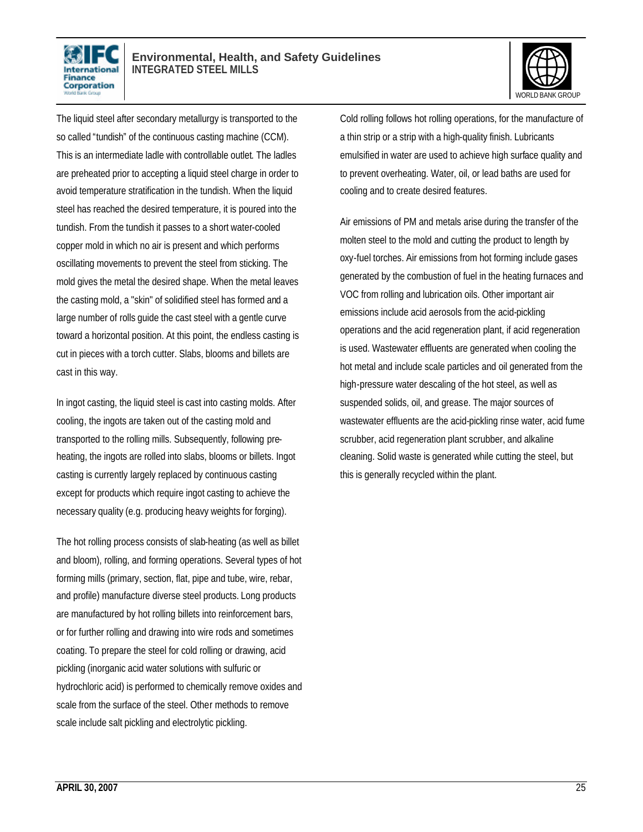



The liquid steel after secondary metallurgy is transported to the so called "tundish" of the continuous casting machine (CCM). This is an intermediate ladle with controllable outlet. The ladles are preheated prior to accepting a liquid steel charge in order to avoid temperature stratification in the tundish. When the liquid steel has reached the desired temperature, it is poured into the tundish. From the tundish it passes to a short water-cooled copper mold in which no air is present and which performs oscillating movements to prevent the steel from sticking. The mold gives the metal the desired shape. When the metal leaves the casting mold, a "skin" of solidified steel has formed and a large number of rolls guide the cast steel with a gentle curve toward a horizontal position. At this point, the endless casting is cut in pieces with a torch cutter. Slabs, blooms and billets are cast in this way.

In ingot casting, the liquid steel is cast into casting molds. After cooling, the ingots are taken out of the casting mold and transported to the rolling mills. Subsequently, following preheating, the ingots are rolled into slabs, blooms or billets. Ingot casting is currently largely replaced by continuous casting except for products which require ingot casting to achieve the necessary quality (e.g. producing heavy weights for forging).

The hot rolling process consists of slab-heating (as well as billet and bloom), rolling, and forming operations. Several types of hot forming mills (primary, section, flat, pipe and tube, wire, rebar, and profile) manufacture diverse steel products. Long products are manufactured by hot rolling billets into reinforcement bars, or for further rolling and drawing into wire rods and sometimes coating. To prepare the steel for cold rolling or drawing, acid pickling (inorganic acid water solutions with sulfuric or hydrochloric acid) is performed to chemically remove oxides and scale from the surface of the steel. Other methods to remove scale include salt pickling and electrolytic pickling.

Cold rolling follows hot rolling operations, for the manufacture of a thin strip or a strip with a high-quality finish. Lubricants emulsified in water are used to achieve high surface quality and to prevent overheating. Water, oil, or lead baths are used for cooling and to create desired features.

Air emissions of PM and metals arise during the transfer of the molten steel to the mold and cutting the product to length by oxy-fuel torches. Air emissions from hot forming include gases generated by the combustion of fuel in the heating furnaces and VOC from rolling and lubrication oils. Other important air emissions include acid aerosols from the acid-pickling operations and the acid regeneration plant, if acid regeneration is used. Wastewater effluents are generated when cooling the hot metal and include scale particles and oil generated from the high-pressure water descaling of the hot steel, as well as suspended solids, oil, and grease. The major sources of wastewater effluents are the acid-pickling rinse water, acid fume scrubber, acid regeneration plant scrubber, and alkaline cleaning. Solid waste is generated while cutting the steel, but this is generally recycled within the plant.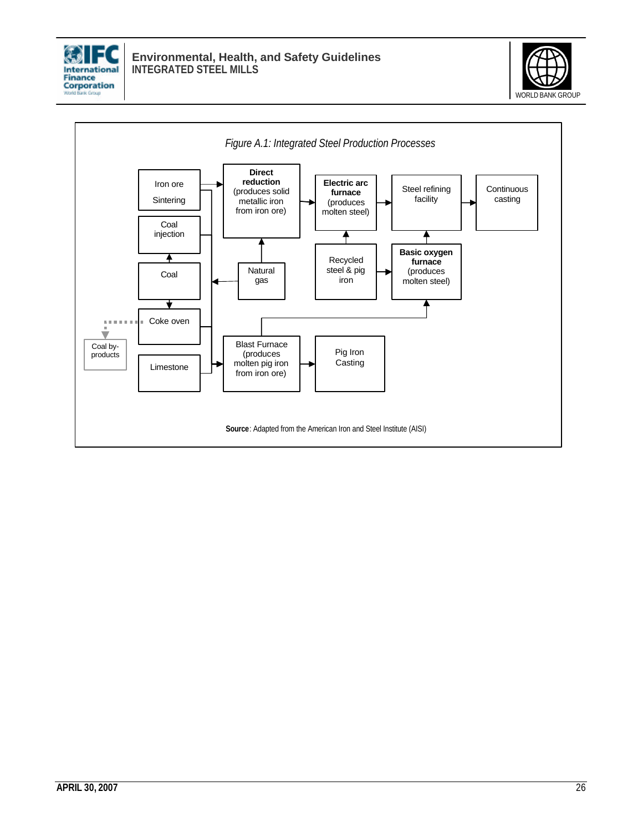